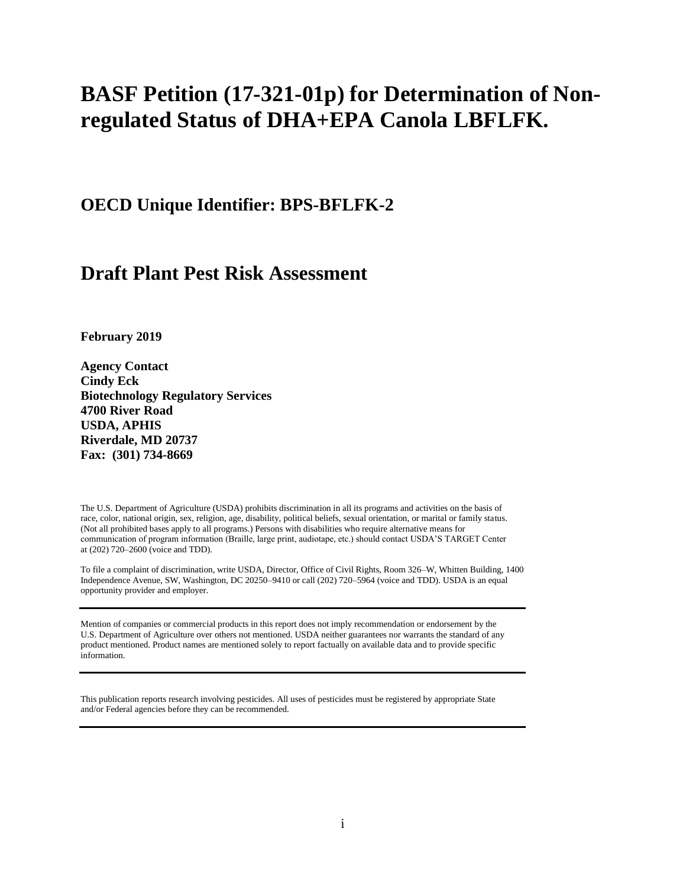# **BASF Petition (17-321-01p) for Determination of Nonregulated Status of DHA+EPA Canola LBFLFK.**

**OECD Unique Identifier: BPS-BFLFK-2**

# **Draft Plant Pest Risk Assessment**

**February 2019**

**Agency Contact Cindy Eck Biotechnology Regulatory Services 4700 River Road USDA, APHIS Riverdale, MD 20737 Fax: (301) 734-8669**

The U.S. Department of Agriculture (USDA) prohibits discrimination in all its programs and activities on the basis of race, color, national origin, sex, religion, age, disability, political beliefs, sexual orientation, or marital or family status. (Not all prohibited bases apply to all programs.) Persons with disabilities who require alternative means for communication of program information (Braille, large print, audiotape, etc.) should contact USDA'S TARGET Center at (202) 720–2600 (voice and TDD).

To file a complaint of discrimination, write USDA, Director, Office of Civil Rights, Room 326–W, Whitten Building, 1400 Independence Avenue, SW, Washington, DC 20250–9410 or call (202) 720–5964 (voice and TDD). USDA is an equal opportunity provider and employer.

Mention of companies or commercial products in this report does not imply recommendation or endorsement by the U.S. Department of Agriculture over others not mentioned. USDA neither guarantees nor warrants the standard of any product mentioned. Product names are mentioned solely to report factually on available data and to provide specific information.

This publication reports research involving pesticides. All uses of pesticides must be registered by appropriate State and/or Federal agencies before they can be recommended.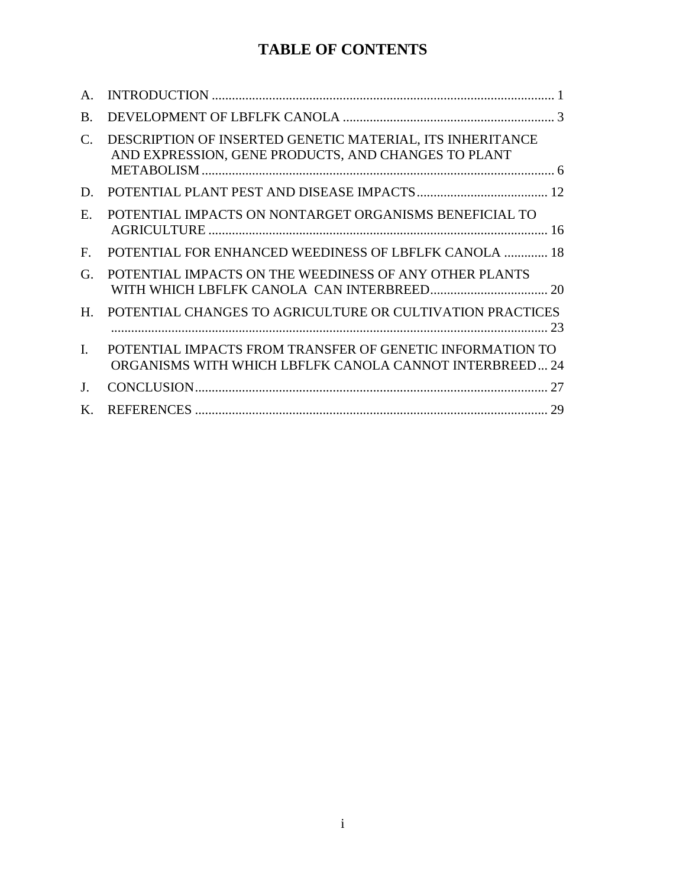## **TABLE OF CONTENTS**

| $\mathsf{A}$ . |                                                                                                                      |
|----------------|----------------------------------------------------------------------------------------------------------------------|
| $\bf{B}$       |                                                                                                                      |
| C.             | DESCRIPTION OF INSERTED GENETIC MATERIAL, ITS INHERITANCE<br>AND EXPRESSION, GENE PRODUCTS, AND CHANGES TO PLANT     |
| D.             |                                                                                                                      |
| Ε.             | POTENTIAL IMPACTS ON NONTARGET ORGANISMS BENEFICIAL TO                                                               |
| F.             | <b>POTENTIAL FOR ENHANCED WEEDINESS OF LBFLFK CANOLA  18</b>                                                         |
| G.             | POTENTIAL IMPACTS ON THE WEEDINESS OF ANY OTHER PLANTS                                                               |
| $H_{\cdot}$    | POTENTIAL CHANGES TO AGRICULTURE OR CULTIVATION PRACTICES                                                            |
| $\mathbf{I}$   | POTENTIAL IMPACTS FROM TRANSFER OF GENETIC INFORMATION TO<br>ORGANISMS WITH WHICH LBFLFK CANOLA CANNOT INTERBREED 24 |
| $\bf{J}$ .     |                                                                                                                      |
| $\bf{K}$       |                                                                                                                      |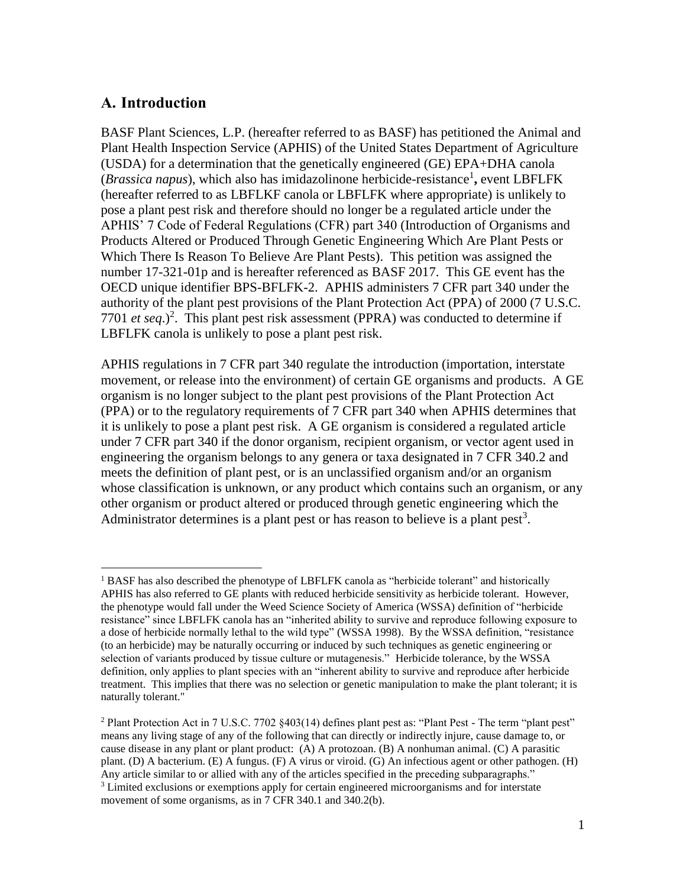#### <span id="page-2-0"></span>**A. Introduction**

BASF Plant Sciences, L.P. (hereafter referred to as BASF) has petitioned the Animal and Plant Health Inspection Service (APHIS) of the United States Department of Agriculture (USDA) for a determination that the genetically engineered (GE) EPA+DHA canola (*Brassica napus*), which also has imidazolinone herbicide-resistance<sup>1</sup>, event LBFLFK (hereafter referred to as LBFLKF canola or LBFLFK where appropriate) is unlikely to pose a plant pest risk and therefore should no longer be a regulated article under the APHIS' 7 Code of Federal Regulations (CFR) part 340 (Introduction of Organisms and Products Altered or Produced Through Genetic Engineering Which Are Plant Pests or Which There Is Reason To Believe Are Plant Pests). This petition was assigned the number 17-321-01p and is hereafter referenced as BASF 2017. This GE event has the OECD unique identifier BPS-BFLFK-2. APHIS administers 7 CFR part 340 under the authority of the plant pest provisions of the Plant Protection Act (PPA) of 2000 (7 U.S.C. 7701 *et seq.*)<sup>2</sup>. This plant pest risk assessment (PPRA) was conducted to determine if LBFLFK canola is unlikely to pose a plant pest risk.

APHIS regulations in 7 CFR part 340 regulate the introduction (importation, interstate movement, or release into the environment) of certain GE organisms and products. A GE organism is no longer subject to the plant pest provisions of the Plant Protection Act (PPA) or to the regulatory requirements of 7 CFR part 340 when APHIS determines that it is unlikely to pose a plant pest risk. A GE organism is considered a regulated article under 7 CFR part 340 if the donor organism, recipient organism, or vector agent used in engineering the organism belongs to any genera or taxa designated in 7 CFR 340.2 and meets the definition of plant pest, or is an unclassified organism and/or an organism whose classification is unknown, or any product which contains such an organism, or any other organism or product altered or produced through genetic engineering which the Administrator determines is a plant pest or has reason to believe is a plant pest<sup>3</sup>.

 $\overline{a}$ <sup>1</sup> BASF has also described the phenotype of LBFLFK canola as "herbicide tolerant" and historically APHIS has also referred to GE plants with reduced herbicide sensitivity as herbicide tolerant. However, the phenotype would fall under the Weed Science Society of America (WSSA) definition of "herbicide resistance" since LBFLFK canola has an "inherited ability to survive and reproduce following exposure to a dose of herbicide normally lethal to the wild type" (WSSA 1998). By the WSSA definition, "resistance (to an herbicide) may be naturally occurring or induced by such techniques as genetic engineering or selection of variants produced by tissue culture or mutagenesis." Herbicide tolerance, by the WSSA definition, only applies to plant species with an "inherent ability to survive and reproduce after herbicide treatment. This implies that there was no selection or genetic manipulation to make the plant tolerant; it is naturally tolerant."

<sup>&</sup>lt;sup>2</sup> Plant Protection Act in 7 U.S.C. 7702  $§$ 403(14) defines plant pest as: "Plant Pest - The term "plant pest" means any living stage of any of the following that can directly or indirectly injure, cause damage to, or cause disease in any plant or plant product: (A) A protozoan. (B) A nonhuman animal. (C) A parasitic plant. (D) A bacterium. (E) A fungus. (F) A virus or viroid. (G) An infectious agent or other pathogen. (H) Any article similar to or allied with any of the articles specified in the preceding subparagraphs." <sup>3</sup> Limited exclusions or exemptions apply for certain engineered microorganisms and for interstate movement of some organisms, as in 7 CFR 340.1 and 340.2(b).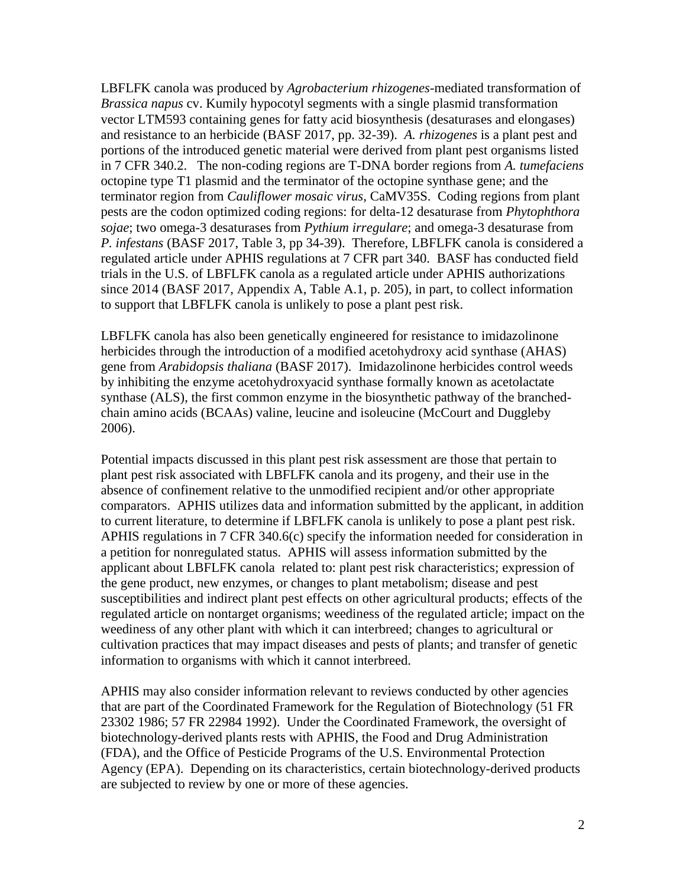LBFLFK canola was produced by *Agrobacterium rhizogenes-*mediated transformation of *Brassica napus* cv. Kumily hypocotyl segments with a single plasmid transformation vector LTM593 containing genes for fatty acid biosynthesis (desaturases and elongases) and resistance to an herbicide [\(BASF 2017, pp. 32-39\)](#page-30-1). *A. rhizogenes* is a plant pest and portions of the introduced genetic material were derived from plant pest organisms listed in 7 CFR 340.2. The non-coding regions are T-DNA border regions from *A. tumefaciens* octopine type T1 plasmid and the terminator of the octopine synthase gene; and the terminator region from *Cauliflower mosaic virus*, CaMV35S. Coding regions from plant pests are the codon optimized coding regions: for delta-12 desaturase from *Phytophthora sojae*; two omega-3 desaturases from *Pythium irregulare*; and omega-3 desaturase from *P. infestans* [\(BASF 2017, Table 3, pp 34-39\)](#page-30-1). Therefore, LBFLFK canola is considered a regulated article under APHIS regulations at 7 CFR part 340. BASF has conducted field trials in the U.S. of LBFLFK canola as a regulated article under APHIS authorizations since 2014 [\(BASF 2017, Appendix A, Table A.1, p. 205\)](#page-30-1), in part, to collect information to support that LBFLFK canola is unlikely to pose a plant pest risk.

LBFLFK canola has also been genetically engineered for resistance to imidazolinone herbicides through the introduction of a modified acetohydroxy acid synthase (AHAS) gene from *Arabidopsis thaliana* [\(BASF 2017\)](#page-30-1). Imidazolinone herbicides control weeds by inhibiting the enzyme acetohydroxyacid synthase formally known as acetolactate synthase (ALS), the first common enzyme in the biosynthetic pathway of the branchedchain amino acids (BCAAs) valine, leucine and isoleucine [\(McCourt and Duggleby](#page-33-0)  [2006\)](#page-33-0).

Potential impacts discussed in this plant pest risk assessment are those that pertain to plant pest risk associated with LBFLFK canola and its progeny, and their use in the absence of confinement relative to the unmodified recipient and/or other appropriate comparators. APHIS utilizes data and information submitted by the applicant, in addition to current literature, to determine if LBFLFK canola is unlikely to pose a plant pest risk. APHIS regulations in 7 CFR 340.6(c) specify the information needed for consideration in a petition for nonregulated status. APHIS will assess information submitted by the applicant about LBFLFK canola related to: plant pest risk characteristics; expression of the gene product, new enzymes, or changes to plant metabolism; disease and pest susceptibilities and indirect plant pest effects on other agricultural products; effects of the regulated article on nontarget organisms; weediness of the regulated article; impact on the weediness of any other plant with which it can interbreed; changes to agricultural or cultivation practices that may impact diseases and pests of plants; and transfer of genetic information to organisms with which it cannot interbreed.

APHIS may also consider information relevant to reviews conducted by other agencies that are part of the Coordinated Framework for the Regulation of Biotechnology [\(51 FR](#page-30-2)  [23302 1986;](#page-30-2) [57 FR 22984 1992\)](#page-30-3). Under the Coordinated Framework, the oversight of biotechnology-derived plants rests with APHIS, the Food and Drug Administration (FDA), and the Office of Pesticide Programs of the U.S. Environmental Protection Agency (EPA). Depending on its characteristics, certain biotechnology-derived products are subjected to review by one or more of these agencies.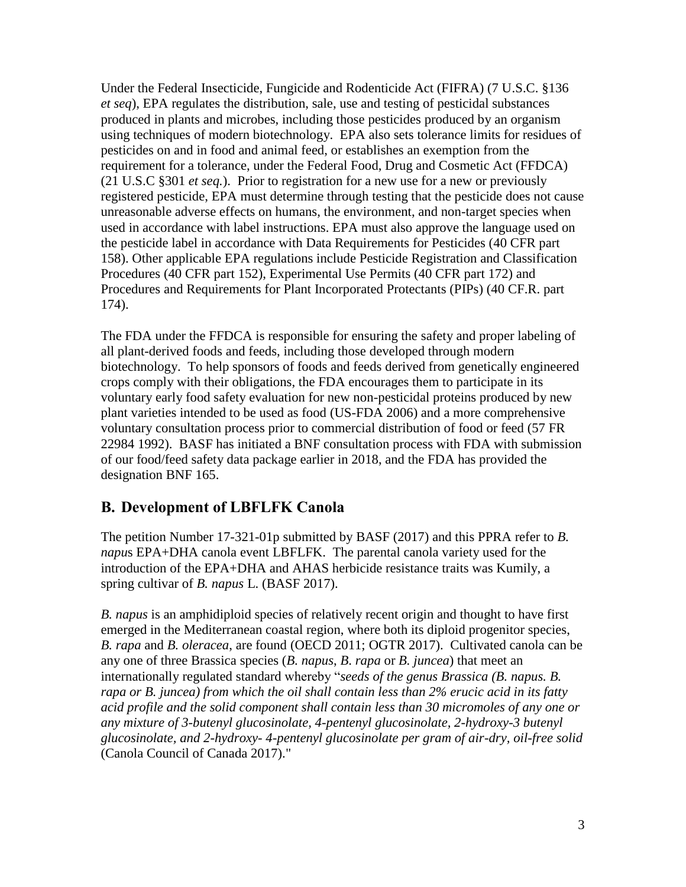Under the Federal Insecticide, Fungicide and Rodenticide Act (FIFRA) (7 U.S.C. §136 *et seq*), EPA regulates the distribution, sale, use and testing of pesticidal substances produced in plants and microbes, including those pesticides produced by an organism using techniques of modern biotechnology. EPA also sets tolerance limits for residues of pesticides on and in food and animal feed, or establishes an exemption from the requirement for a tolerance, under the Federal Food, Drug and Cosmetic Act (FFDCA) (21 U.S.C §301 *et seq.*). Prior to registration for a new use for a new or previously registered pesticide, EPA must determine through testing that the pesticide does not cause unreasonable adverse effects on humans, the environment, and non-target species when used in accordance with label instructions. EPA must also approve the language used on the pesticide label in accordance with Data Requirements for Pesticides (40 CFR part 158). Other applicable EPA regulations include Pesticide Registration and Classification Procedures (40 CFR part 152), Experimental Use Permits (40 CFR part 172) and Procedures and Requirements for Plant Incorporated Protectants (PIPs) (40 CF.R. part 174).

The FDA under the FFDCA is responsible for ensuring the safety and proper labeling of all plant-derived foods and feeds, including those developed through modern biotechnology. To help sponsors of foods and feeds derived from genetically engineered crops comply with their obligations, the FDA encourages them to participate in its voluntary early food safety evaluation for new non-pesticidal proteins produced by new plant varieties intended to be used as food [\(US-FDA 2006\)](#page-35-0) and a more comprehensive voluntary consultation process prior to commercial distribution of food or feed [\(57 FR](#page-30-3)  [22984 1992\)](#page-30-3). BASF has initiated a BNF consultation process with FDA with submission of our food/feed safety data package earlier in 2018, and the FDA has provided the designation BNF 165.

### <span id="page-4-0"></span>**B. Development of LBFLFK Canola**

The petition Number 17-321-01p submitted by BASF [\(2017\)](#page-30-1) and this PPRA refer to *B. napu*s EPA+DHA canola event LBFLFK. The parental canola variety used for the introduction of the EPA+DHA and AHAS herbicide resistance traits was Kumily, a spring cultivar of *B. napus* L. [\(BASF 2017\)](#page-30-1).

*B. napus* is an amphidiploid species of relatively recent origin and thought to have first emerged in the Mediterranean coastal region, where both its diploid progenitor species, *B. rapa* and *B. oleracea*, are found [\(OECD 2011;](#page-34-0) [OGTR 2017\)](#page-34-1). Cultivated canola can be any one of three Brassica species (*B. napus*, *B*. *rapa* or *B. juncea*) that meet an internationally regulated standard whereby "*seeds of the genus Brassica (B. napus. B. rapa or B. juncea) from which the oil shall contain less than 2% erucic acid in its fatty acid profile and the solid component shall contain less than 30 micromoles of any one or any mixture of 3-butenyl glucosinolate, 4-pentenyl glucosinolate, 2-hydroxy-3 butenyl glucosinolate, and 2-hydroxy- 4-pentenyl glucosinolate per gram of air-dry, oil-free solid* [\(Canola Council of Canada 2017\)](#page-30-4)."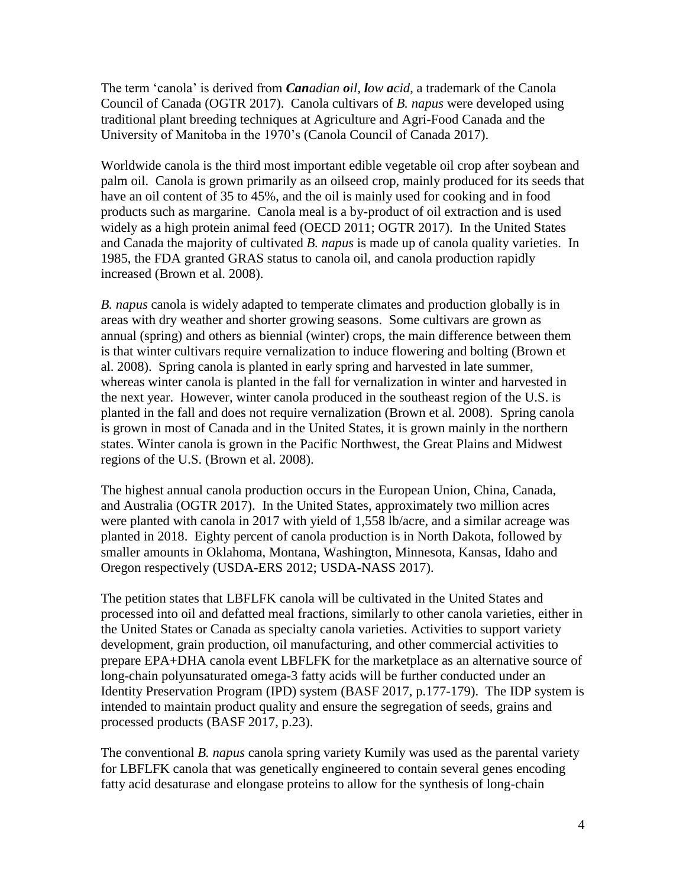The term 'canola' is derived from *Canadian oil, low acid*, a trademark of the Canola Council of Canada (OGTR 2017). Canola cultivars of *B. napus* were developed using traditional plant breeding techniques at Agriculture and Agri-Food Canada and the University of Manitoba in the 1970's [\(Canola Council of Canada 2017\)](#page-30-4).

Worldwide canola is the third most important edible vegetable oil crop after soybean and palm oil. Canola is grown primarily as an oilseed crop, mainly produced for its seeds that have an oil content of 35 to 45%, and the oil is mainly used for cooking and in food products such as margarine. Canola meal is a by-product of oil extraction and is used widely as a high protein animal feed [\(OECD 2011;](#page-34-0) [OGTR 2017\)](#page-34-1). In the United States and Canada the majority of cultivated *B. napus* is made up of canola quality varieties. In 1985, the FDA granted GRAS status to canola oil, and canola production rapidly increased [\(Brown et al. 2008\)](#page-30-5).

*B. napus* canola is widely adapted to temperate climates and production globally is in areas with dry weather and shorter growing seasons. Some cultivars are grown as annual (spring) and others as biennial (winter) crops, the main difference between them is that winter cultivars require vernalization to induce flowering and bolting [\(Brown et](#page-30-5)  [al. 2008\)](#page-30-5). Spring canola is planted in early spring and harvested in late summer, whereas winter canola is planted in the fall for vernalization in winter and harvested in the next year. However, winter canola produced in the southeast region of the U.S. is planted in the fall and does not require vernalization (Brown et al. 2008). Spring canola is grown in most of Canada and in the United States, it is grown mainly in the northern states. Winter canola is grown in the Pacific Northwest, the Great Plains and Midwest regions of the U.S. [\(Brown et al. 2008\)](#page-30-5).

The highest annual canola production occurs in the European Union, China, Canada, and Australia [\(OGTR 2017\)](#page-34-1). In the United States, approximately two million acres were planted with canola in 2017 with yield of 1,558 lb/acre, and a similar acreage was planted in 2018. Eighty percent of canola production is in North Dakota, followed by smaller amounts in Oklahoma, Montana, Washington, Minnesota, Kansas, Idaho and Oregon respectively [\(USDA-ERS 2012;](#page-36-0) [USDA-NASS 2017\)](#page-36-1).

The petition states that LBFLFK canola will be cultivated in the United States and processed into oil and defatted meal fractions, similarly to other canola varieties, either in the United States or Canada as specialty canola varieties. Activities to support variety development, grain production, oil manufacturing, and other commercial activities to prepare EPA+DHA canola event LBFLFK for the marketplace as an alternative source of long-chain polyunsaturated omega-3 fatty acids will be further conducted under an Identity Preservation Program (IPD) system [\(BASF 2017, p.177-179\)](#page-30-1). The IDP system is intended to maintain product quality and ensure the segregation of seeds, grains and processed products [\(BASF 2017, p.23\)](#page-30-1).

The conventional *B. napus* canola spring variety Kumily was used as the parental variety for LBFLFK canola that was genetically engineered to contain several genes encoding fatty acid desaturase and elongase proteins to allow for the synthesis of long-chain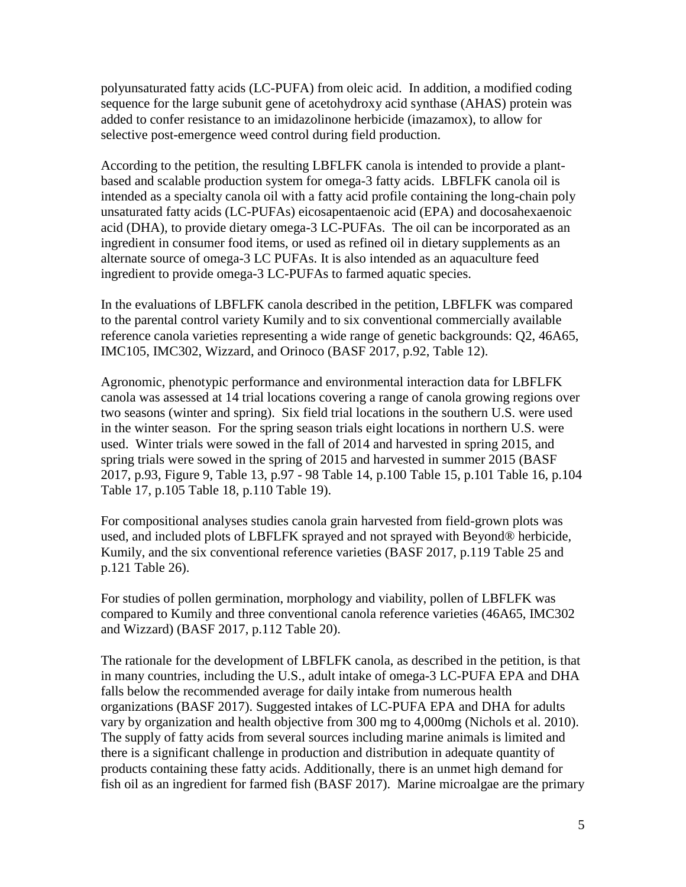polyunsaturated fatty acids (LC-PUFA) from oleic acid. In addition, a modified coding sequence for the large subunit gene of acetohydroxy acid synthase (AHAS) protein was added to confer resistance to an imidazolinone herbicide (imazamox), to allow for selective post-emergence weed control during field production.

According to the petition, the resulting LBFLFK canola is intended to provide a plantbased and scalable production system for omega-3 fatty acids. LBFLFK canola oil is intended as a specialty canola oil with a fatty acid profile containing the long-chain poly unsaturated fatty acids (LC-PUFAs) eicosapentaenoic acid (EPA) and docosahexaenoic acid (DHA), to provide dietary omega-3 LC-PUFAs. The oil can be incorporated as an ingredient in consumer food items, or used as refined oil in dietary supplements as an alternate source of omega-3 LC PUFAs. It is also intended as an aquaculture feed ingredient to provide omega-3 LC-PUFAs to farmed aquatic species.

In the evaluations of LBFLFK canola described in the petition, LBFLFK was compared to the parental control variety Kumily and to six conventional commercially available reference canola varieties representing a wide range of genetic backgrounds: Q2, 46A65, IMC105, IMC302, Wizzard, and Orinoco (BASF 2017, p.92, Table 12).

Agronomic, phenotypic performance and environmental interaction data for LBFLFK canola was assessed at 14 trial locations covering a range of canola growing regions over two seasons (winter and spring). Six field trial locations in the southern U.S. were used in the winter season. For the spring season trials eight locations in northern U.S. were used. Winter trials were sowed in the fall of 2014 and harvested in spring 2015, and spring trials were sowed in the spring of 2015 and harvested in summer 2015 (BASF 2017, p.93, Figure 9, Table 13, p.97 - 98 Table 14, p.100 Table 15, p.101 Table 16, p.104 Table 17, p.105 Table 18, p.110 Table 19).

For compositional analyses studies canola grain harvested from field-grown plots was used, and included plots of LBFLFK sprayed and not sprayed with Beyond® herbicide, Kumily, and the six conventional reference varieties (BASF 2017, p.119 Table 25 and p.121 Table 26).

For studies of pollen germination, morphology and viability, pollen of LBFLFK was compared to Kumily and three conventional canola reference varieties (46A65, IMC302 and Wizzard) (BASF 2017, p.112 Table 20).

The rationale for the development of LBFLFK canola, as described in the petition, is that in many countries, including the U.S., adult intake of omega-3 LC-PUFA EPA and DHA falls below the recommended average for daily intake from numerous health organizations [\(BASF 2017\)](#page-30-1). Suggested intakes of LC-PUFA EPA and DHA for adults vary by organization and health objective from 300 mg to 4,000mg [\(Nichols et al. 2010\)](#page-33-1). The supply of fatty acids from several sources including marine animals is limited and there is a significant challenge in production and distribution in adequate quantity of products containing these fatty acids. Additionally, there is an unmet high demand for fish oil as an ingredient for farmed fish [\(BASF 2017\)](#page-30-1). Marine microalgae are the primary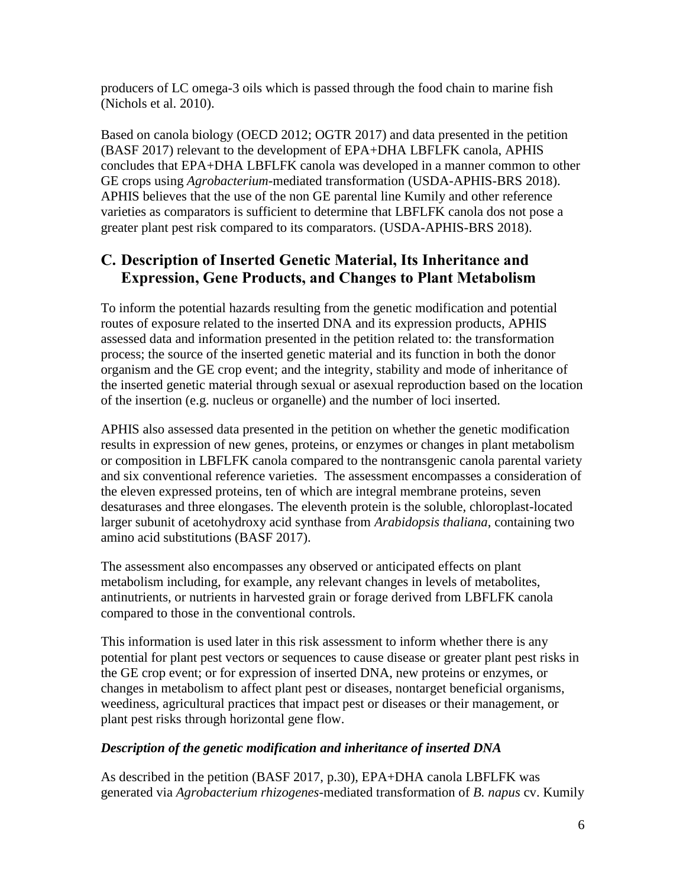producers of LC omega-3 oils which is passed through the food chain to marine fish [\(Nichols et al. 2010\)](#page-33-1).

Based on canola biology [\(OECD 2012;](#page-34-2) [OGTR 2017\)](#page-34-1) and data presented in the petition [\(BASF 2017\)](#page-30-1) relevant to the development of EPA+DHA LBFLFK canola, APHIS concludes that EPA+DHA LBFLFK canola was developed in a manner common to other GE crops using *Agrobacterium*-mediated transformation [\(USDA-APHIS-BRS 2018\)](#page-35-1). APHIS believes that the use of the non GE parental line Kumily and other reference varieties as comparators is sufficient to determine that LBFLFK canola dos not pose a greater plant pest risk compared to its comparators. [\(USDA-APHIS-BRS 2018\)](#page-35-1).

### <span id="page-7-0"></span>**C. Description of Inserted Genetic Material, Its Inheritance and Expression, Gene Products, and Changes to Plant Metabolism**

To inform the potential hazards resulting from the genetic modification and potential routes of exposure related to the inserted DNA and its expression products, APHIS assessed data and information presented in the petition related to: the transformation process; the source of the inserted genetic material and its function in both the donor organism and the GE crop event; and the integrity, stability and mode of inheritance of the inserted genetic material through sexual or asexual reproduction based on the location of the insertion (e.g. nucleus or organelle) and the number of loci inserted.

APHIS also assessed data presented in the petition on whether the genetic modification results in expression of new genes, proteins, or enzymes or changes in plant metabolism or composition in LBFLFK canola compared to the nontransgenic canola parental variety and six conventional reference varieties. The assessment encompasses a consideration of the eleven expressed proteins, ten of which are integral membrane proteins, seven desaturases and three elongases. The eleventh protein is the soluble, chloroplast-located larger subunit of acetohydroxy acid synthase from *Arabidopsis thaliana*, containing two amino acid substitutions [\(BASF 2017\)](#page-30-1).

The assessment also encompasses any observed or anticipated effects on plant metabolism including, for example, any relevant changes in levels of metabolites, antinutrients, or nutrients in harvested grain or forage derived from LBFLFK canola compared to those in the conventional controls.

This information is used later in this risk assessment to inform whether there is any potential for plant pest vectors or sequences to cause disease or greater plant pest risks in the GE crop event; or for expression of inserted DNA, new proteins or enzymes, or changes in metabolism to affect plant pest or diseases, nontarget beneficial organisms, weediness, agricultural practices that impact pest or diseases or their management, or plant pest risks through horizontal gene flow.

#### *Description of the genetic modification and inheritance of inserted DNA*

As described in the petition [\(BASF 2017, p.30\)](#page-30-1), EPA+DHA canola LBFLFK was generated via *Agrobacterium rhizogenes*-mediated transformation of *B. napus* cv. Kumily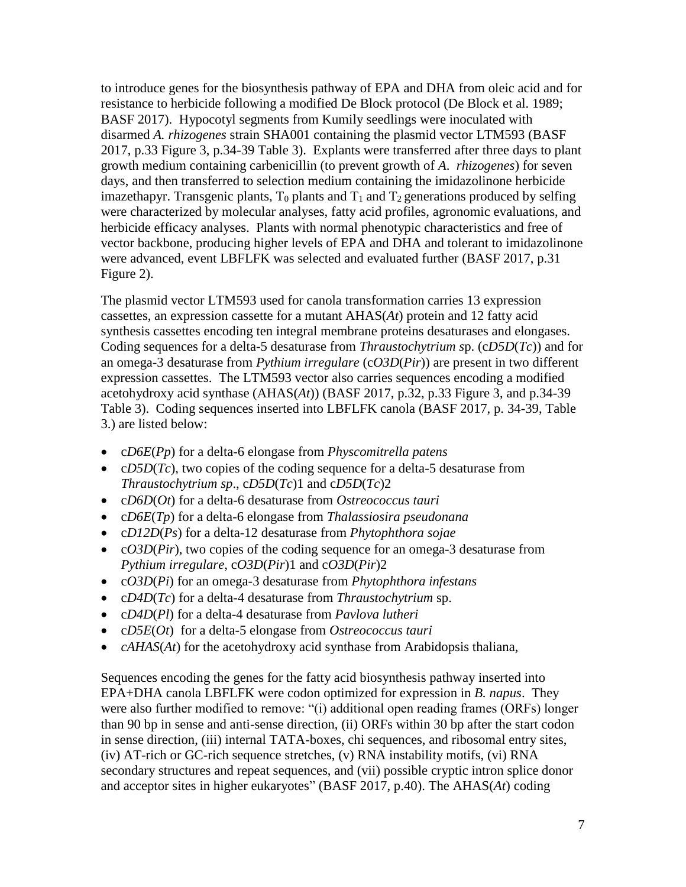to introduce genes for the biosynthesis pathway of EPA and DHA from oleic acid and for resistance to herbicide following a modified De Block protocol [\(De Block et al. 1989;](#page-31-0) [BASF 2017\)](#page-30-1). Hypocotyl segments from Kumily seedlings were inoculated with disarmed *A. rhizogenes* strain SHA001 containing the plasmid vector LTM593 [\(BASF](#page-30-1)  [2017, p.33 Figure 3, p.34-39 Table 3\)](#page-30-1). Explants were transferred after three days to plant growth medium containing carbenicillin (to prevent growth of *A*. *rhizogenes*) for seven days, and then transferred to selection medium containing the imidazolinone herbicide imazethapyr. Transgenic plants,  $T_0$  plants and  $T_1$  and  $T_2$  generations produced by selfing were characterized by molecular analyses, fatty acid profiles, agronomic evaluations, and herbicide efficacy analyses. Plants with normal phenotypic characteristics and free of vector backbone, producing higher levels of EPA and DHA and tolerant to imidazolinone were advanced, event LBFLFK was selected and evaluated further [\(BASF 2017, p.31](#page-30-1)  [Figure 2\)](#page-30-1).

The plasmid vector LTM593 used for canola transformation carries 13 expression cassettes, an expression cassette for a mutant AHAS(*At*) protein and 12 fatty acid synthesis cassettes encoding ten integral membrane proteins desaturases and elongases. Coding sequences for a delta-5 desaturase from *Thraustochytrium s*p. (c*D5D*(*Tc*)) and for an omega-3 desaturase from *Pythium irregulare* (c*O3D*(*Pir*)) are present in two different expression cassettes. The LTM593 vector also carries sequences encoding a modified acetohydroxy acid synthase (AHAS(*At*)) [\(BASF 2017, p.32, p.33 Figure 3, and p.34-39](#page-30-1)  [Table 3\)](#page-30-1). Coding sequences inserted into LBFLFK canola [\(BASF 2017, p. 34-39, Table](#page-30-1)  [3.\)](#page-30-1) are listed below:

- c*D6E*(*Pp*) for a delta-6 elongase from *Physcomitrella patens*
- cD5D(*Tc*), two copies of the coding sequence for a delta-5 desaturase from *Thraustochytrium sp*., c*D5D*(*Tc*)1 and c*D5D*(*Tc*)2
- c*D6D*(*Ot*) for a delta-6 desaturase from *Ostreococcus tauri*
- c*D6E*(*Tp*) for a delta-6 elongase from *Thalassiosira pseudonana*
- c*D12D*(*Ps*) for a delta-12 desaturase from *Phytophthora sojae*
- c*O3D*(*Pir*), two copies of the coding sequence for an omega-3 desaturase from *Pythium irregulare*, c*O3D*(*Pir*)1 and c*O3D*(*Pir*)2
- c*O3D*(*Pi*) for an omega-3 desaturase from *Phytophthora infestans*
- c*D4D*(*Tc*) for a delta-4 desaturase from *Thraustochytrium* sp.
- c*D4D*(*Pl*) for a delta-4 desaturase from *Pavlova lutheri*
- c*D5E*(*Ot*) for a delta-5 elongase from *Ostreococcus tauri*
- *cAHAS(At)* for the acetohydroxy acid synthase from Arabidopsis thaliana,

Sequences encoding the genes for the fatty acid biosynthesis pathway inserted into EPA+DHA canola LBFLFK were codon optimized for expression in *B. napus*. They were also further modified to remove: "(i) additional open reading frames (ORFs) longer than 90 bp in sense and anti-sense direction, (ii) ORFs within 30 bp after the start codon in sense direction, (iii) internal TATA-boxes, chi sequences, and ribosomal entry sites, (iv) AT-rich or GC-rich sequence stretches, (v) RNA instability motifs, (vi) RNA secondary structures and repeat sequences, and (vii) possible cryptic intron splice donor and acceptor sites in higher eukaryotes" [\(BASF 2017, p.40\)](#page-30-1). The AHAS(*At*) coding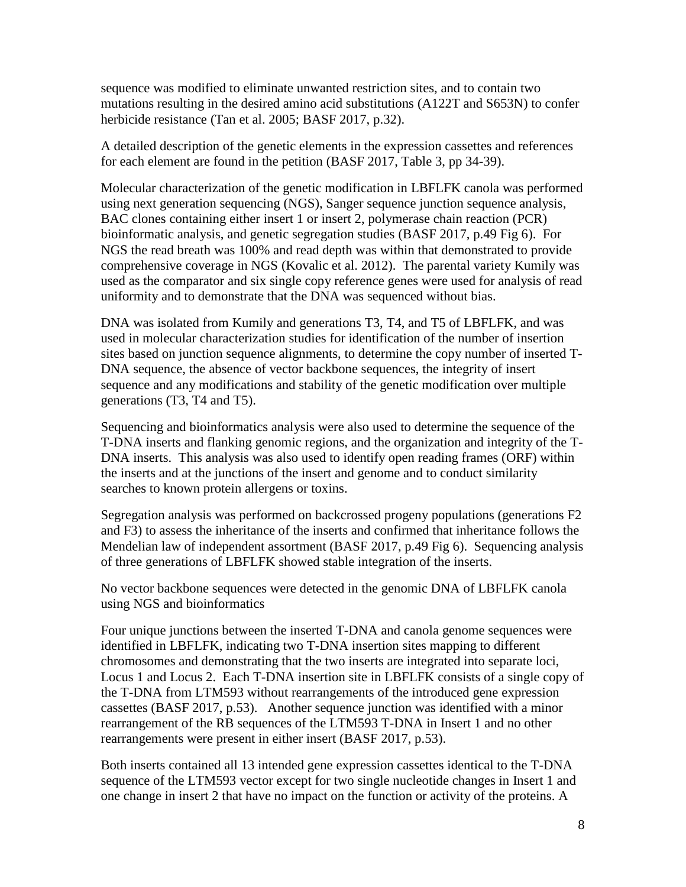sequence was modified to eliminate unwanted restriction sites, and to contain two mutations resulting in the desired amino acid substitutions (A122T and S653N) to confer herbicide resistance [\(Tan et al. 2005;](#page-35-2) [BASF 2017, p.32\)](#page-30-1).

A detailed description of the genetic elements in the expression cassettes and references for each element are found in the petition [\(BASF 2017, Table 3,](#page-30-1) pp 34-39).

Molecular characterization of the genetic modification in LBFLFK canola was performed using next generation sequencing (NGS), Sanger sequence junction sequence analysis, BAC clones containing either insert 1 or insert 2, polymerase chain reaction (PCR) bioinformatic analysis, and genetic segregation studies [\(BASF 2017, p.49 Fig 6\)](#page-30-1). For NGS the read breath was 100% and read depth was within that demonstrated to provide comprehensive coverage in NGS [\(Kovalic et al. 2012\)](#page-33-2). The parental variety Kumily was used as the comparator and six single copy reference genes were used for analysis of read uniformity and to demonstrate that the DNA was sequenced without bias.

DNA was isolated from Kumily and generations T3, T4, and T5 of LBFLFK, and was used in molecular characterization studies for identification of the number of insertion sites based on junction sequence alignments, to determine the copy number of inserted T-DNA sequence, the absence of vector backbone sequences, the integrity of insert sequence and any modifications and stability of the genetic modification over multiple generations (T3, T4 and T5).

Sequencing and bioinformatics analysis were also used to determine the sequence of the T-DNA inserts and flanking genomic regions, and the organization and integrity of the T-DNA inserts. This analysis was also used to identify open reading frames (ORF) within the inserts and at the junctions of the insert and genome and to conduct similarity searches to known protein allergens or toxins.

Segregation analysis was performed on backcrossed progeny populations (generations F2 and F3) to assess the inheritance of the inserts and confirmed that inheritance follows the Mendelian law of independent assortment [\(BASF 2017, p.49 Fig 6\)](#page-30-1). Sequencing analysis of three generations of LBFLFK showed stable integration of the inserts.

No vector backbone sequences were detected in the genomic DNA of LBFLFK canola using NGS and bioinformatics

Four unique junctions between the inserted T-DNA and canola genome sequences were identified in LBFLFK, indicating two T-DNA insertion sites mapping to different chromosomes and demonstrating that the two inserts are integrated into separate loci, Locus 1 and Locus 2. Each T-DNA insertion site in LBFLFK consists of a single copy of the T-DNA from LTM593 without rearrangements of the introduced gene expression cassettes [\(BASF 2017, p.53\)](#page-30-1). Another sequence junction was identified with a minor rearrangement of the RB sequences of the LTM593 T-DNA in Insert 1 and no other rearrangements were present in either insert [\(BASF 2017, p.53\)](#page-30-1).

Both inserts contained all 13 intended gene expression cassettes identical to the T-DNA sequence of the LTM593 vector except for two single nucleotide changes in Insert 1 and one change in insert 2 that have no impact on the function or activity of the proteins. A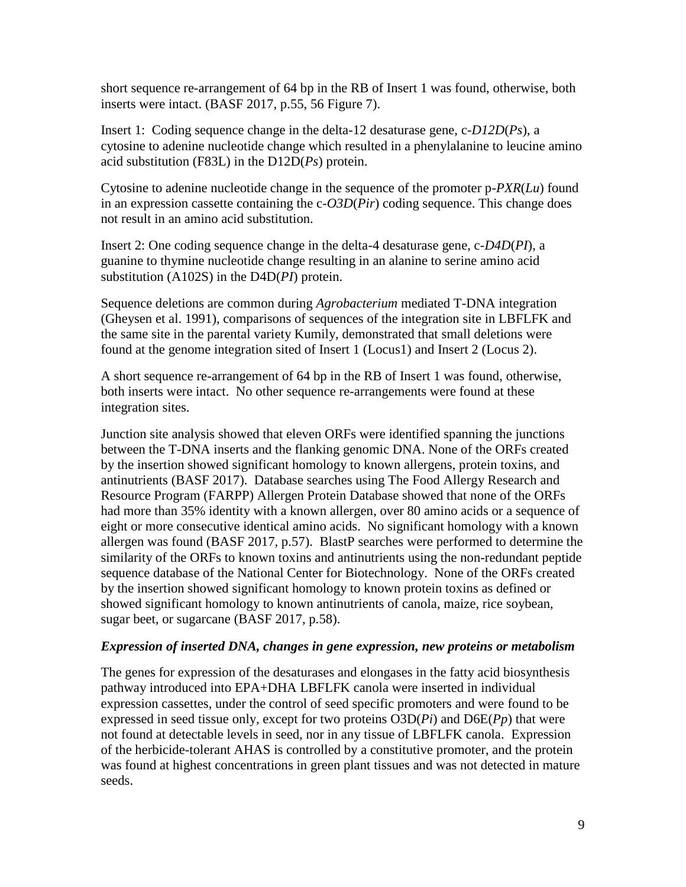short sequence re-arrangement of 64 bp in the RB of Insert 1 was found, otherwise, both inserts were intact. [\(BASF 2017, p.55, 56 Figure 7\)](#page-30-1).

Insert 1: Coding sequence change in the delta-12 desaturase gene, c-*D12D*(*Ps*), a cytosine to adenine nucleotide change which resulted in a phenylalanine to leucine amino acid substitution (F83L) in the D12D(*Ps*) protein.

Cytosine to adenine nucleotide change in the sequence of the promoter p-*PXR*(*Lu*) found in an expression cassette containing the c-*O3D*(*Pir*) coding sequence. This change does not result in an amino acid substitution.

Insert 2: One coding sequence change in the delta-4 desaturase gene, c-*D4D*(*PI*), a guanine to thymine nucleotide change resulting in an alanine to serine amino acid substitution (A102S) in the D4D(*PI*) protein.

Sequence deletions are common during *Agrobacterium* mediated T-DNA integration [\(Gheysen et al. 1991\)](#page-31-1), comparisons of sequences of the integration site in LBFLFK and the same site in the parental variety Kumily, demonstrated that small deletions were found at the genome integration sited of Insert 1 (Locus1) and Insert 2 (Locus 2).

A short sequence re-arrangement of 64 bp in the RB of Insert 1 was found, otherwise, both inserts were intact. No other sequence re-arrangements were found at these integration sites.

Junction site analysis showed that eleven ORFs were identified spanning the junctions between the T-DNA inserts and the flanking genomic DNA. None of the ORFs created by the insertion showed significant homology to known allergens, protein toxins, and antinutrients [\(BASF 2017\)](#page-30-1). Database searches using The Food Allergy Research and Resource Program (FARPP) Allergen Protein Database showed that none of the ORFs had more than 35% identity with a known allergen, over 80 amino acids or a sequence of eight or more consecutive identical amino acids. No significant homology with a known allergen was found [\(BASF 2017, p.57\)](#page-30-1). BlastP searches were performed to determine the similarity of the ORFs to known toxins and antinutrients using the non-redundant peptide sequence database of the National Center for Biotechnology. None of the ORFs created by the insertion showed significant homology to known protein toxins as defined or showed significant homology to known antinutrients of canola, maize, rice soybean, sugar beet, or sugarcane [\(BASF 2017, p.58\)](#page-30-1).

#### *Expression of inserted DNA, changes in gene expression, new proteins or metabolism*

The genes for expression of the desaturases and elongases in the fatty acid biosynthesis pathway introduced into EPA+DHA LBFLFK canola were inserted in individual expression cassettes, under the control of seed specific promoters and were found to be expressed in seed tissue only, except for two proteins O3D(*Pi*) and D6E(*Pp*) that were not found at detectable levels in seed, nor in any tissue of LBFLFK canola. Expression of the herbicide-tolerant AHAS is controlled by a constitutive promoter, and the protein was found at highest concentrations in green plant tissues and was not detected in mature seeds.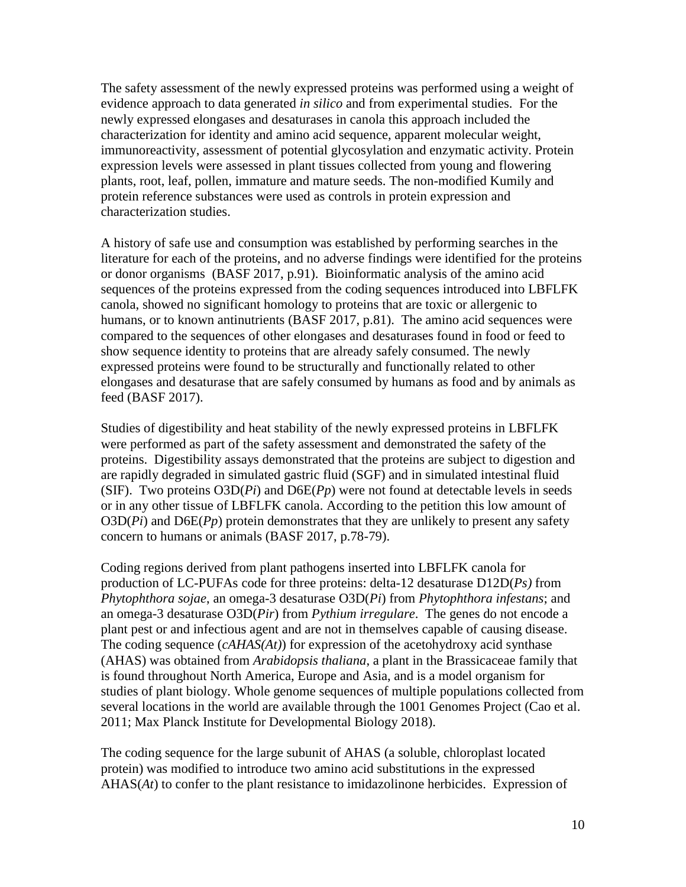The safety assessment of the newly expressed proteins was performed using a weight of evidence approach to data generated *in silico* and from experimental studies. For the newly expressed elongases and desaturases in canola this approach included the characterization for identity and amino acid sequence, apparent molecular weight, immunoreactivity, assessment of potential glycosylation and enzymatic activity. Protein expression levels were assessed in plant tissues collected from young and flowering plants, root, leaf, pollen, immature and mature seeds. The non-modified Kumily and protein reference substances were used as controls in protein expression and characterization studies.

A history of safe use and consumption was established by performing searches in the literature for each of the proteins, and no adverse findings were identified for the proteins or donor organisms [\(BASF 2017, p.91\)](#page-30-1). Bioinformatic analysis of the amino acid sequences of the proteins expressed from the coding sequences introduced into LBFLFK canola, showed no significant homology to proteins that are toxic or allergenic to humans, or to known antinutrients [\(BASF 2017, p.81\)](#page-30-1). The amino acid sequences were compared to the sequences of other elongases and desaturases found in food or feed to show sequence identity to proteins that are already safely consumed. The newly expressed proteins were found to be structurally and functionally related to other elongases and desaturase that are safely consumed by humans as food and by animals as feed [\(BASF 2017\)](#page-30-1).

Studies of digestibility and heat stability of the newly expressed proteins in LBFLFK were performed as part of the safety assessment and demonstrated the safety of the proteins. Digestibility assays demonstrated that the proteins are subject to digestion and are rapidly degraded in simulated gastric fluid (SGF) and in simulated intestinal fluid (SIF). Two proteins  $O3D(P_i)$  and  $D6E(P_p)$  were not found at detectable levels in seeds or in any other tissue of LBFLFK canola. According to the petition this low amount of  $O3D(P_i)$  and  $D6E(P_p)$  protein demonstrates that they are unlikely to present any safety concern to humans or animals [\(BASF 2017, p.78-79\)](#page-30-1).

Coding regions derived from plant pathogens inserted into LBFLFK canola for production of LC-PUFAs code for three proteins: delta-12 desaturase D12D(*Ps)* from *Phytophthora sojae*, an omega-3 desaturase O3D(*Pi*) from *Phytophthora infestans*; and an omega-3 desaturase O3D(*Pir*) from *Pythium irregulare*. The genes do not encode a plant pest or and infectious agent and are not in themselves capable of causing disease. The coding sequence (*cAHAS(At)*) for expression of the acetohydroxy acid synthase (AHAS) was obtained from *Arabidopsis thaliana*, a plant in the Brassicaceae family that is found throughout North America, Europe and Asia, and is a model organism for studies of plant biology. Whole genome sequences of multiple populations collected from several locations in the world are available through the 1001 Genomes Project [\(Cao et al.](#page-30-6)  [2011;](#page-30-6) [Max Planck Institute for Developmental Biology 2018\)](#page-33-3).

The coding sequence for the large subunit of AHAS (a soluble, chloroplast located protein) was modified to introduce two amino acid substitutions in the expressed AHAS(*At*) to confer to the plant resistance to imidazolinone herbicides. Expression of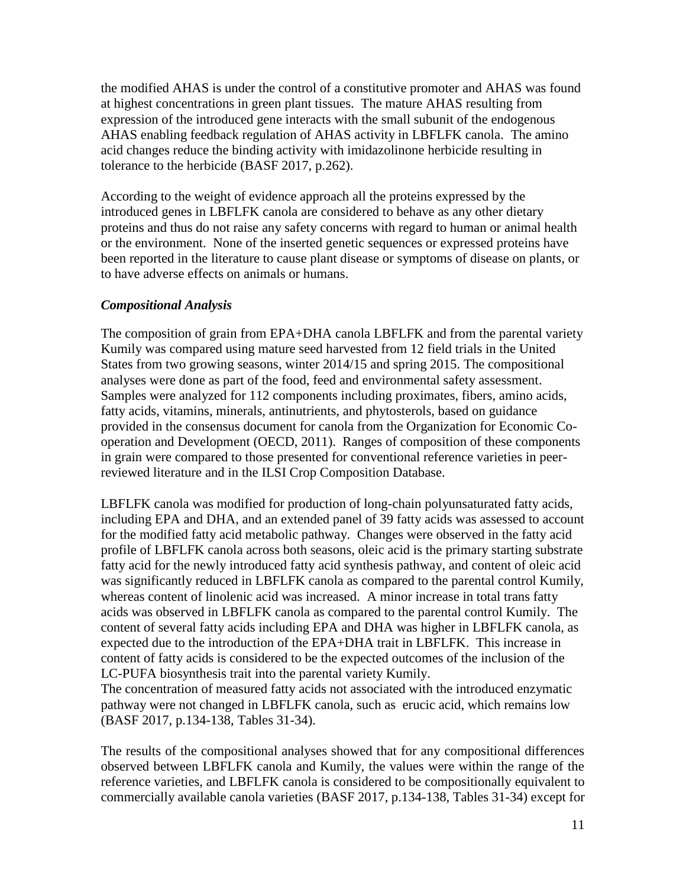the modified AHAS is under the control of a constitutive promoter and AHAS was found at highest concentrations in green plant tissues. The mature AHAS resulting from expression of the introduced gene interacts with the small subunit of the endogenous AHAS enabling feedback regulation of AHAS activity in LBFLFK canola. The amino acid changes reduce the binding activity with imidazolinone herbicide resulting in tolerance to the herbicide [\(BASF 2017, p.262\)](#page-30-1).

According to the weight of evidence approach all the proteins expressed by the introduced genes in LBFLFK canola are considered to behave as any other dietary proteins and thus do not raise any safety concerns with regard to human or animal health or the environment. None of the inserted genetic sequences or expressed proteins have been reported in the literature to cause plant disease or symptoms of disease on plants, or to have adverse effects on animals or humans.

#### *Compositional Analysis*

The composition of grain from EPA+DHA canola LBFLFK and from the parental variety Kumily was compared using mature seed harvested from 12 field trials in the United States from two growing seasons, winter 2014/15 and spring 2015. The compositional analyses were done as part of the food, feed and environmental safety assessment. Samples were analyzed for 112 components including proximates, fibers, amino acids, fatty acids, vitamins, minerals, antinutrients, and phytosterols, based on guidance provided in the consensus document for canola from the Organization for Economic Cooperation and Development (OECD, 2011). Ranges of composition of these components in grain were compared to those presented for conventional reference varieties in peerreviewed literature and in the ILSI Crop Composition Database.

LBFLFK canola was modified for production of long-chain polyunsaturated fatty acids, including EPA and DHA, and an extended panel of 39 fatty acids was assessed to account for the modified fatty acid metabolic pathway. Changes were observed in the fatty acid profile of LBFLFK canola across both seasons, oleic acid is the primary starting substrate fatty acid for the newly introduced fatty acid synthesis pathway, and content of oleic acid was significantly reduced in LBFLFK canola as compared to the parental control Kumily, whereas content of linolenic acid was increased. A minor increase in total trans fatty acids was observed in LBFLFK canola as compared to the parental control Kumily. The content of several fatty acids including EPA and DHA was higher in LBFLFK canola, as expected due to the introduction of the EPA+DHA trait in LBFLFK. This increase in content of fatty acids is considered to be the expected outcomes of the inclusion of the LC-PUFA biosynthesis trait into the parental variety Kumily.

The concentration of measured fatty acids not associated with the introduced enzymatic pathway were not changed in LBFLFK canola, such as erucic acid, which remains low [\(BASF 2017, p.134-138, Tables 31-34\)](#page-30-1).

The results of the compositional analyses showed that for any compositional differences observed between LBFLFK canola and Kumily, the values were within the range of the reference varieties, and LBFLFK canola is considered to be compositionally equivalent to commercially available canola varieties [\(BASF 2017, p.134-138, Tables 31-34\)](#page-30-1) except for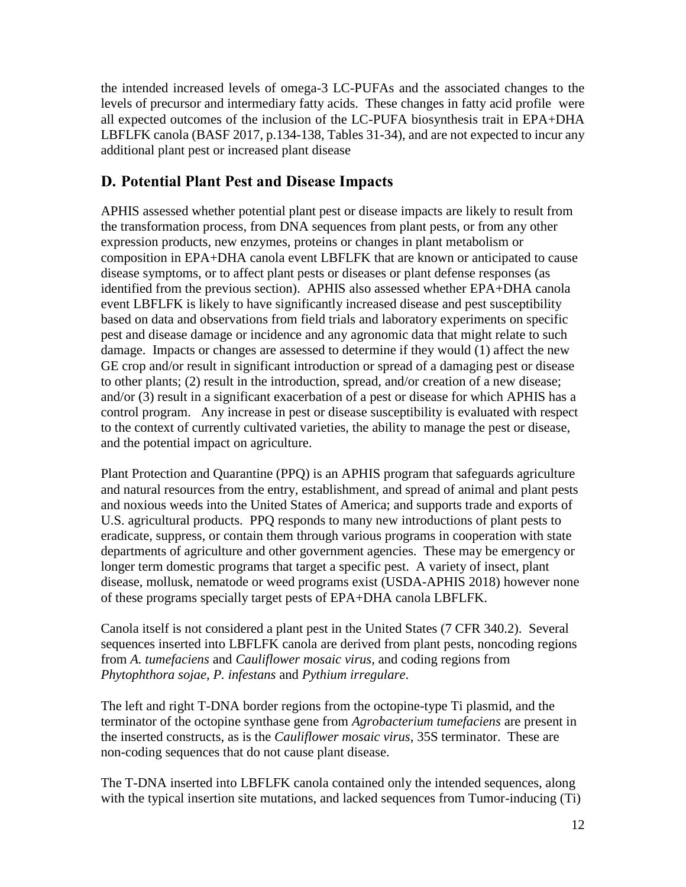the intended increased levels of omega-3 LC-PUFAs and the associated changes to the levels of precursor and intermediary fatty acids. These changes in fatty acid profile were all expected outcomes of the inclusion of the LC-PUFA biosynthesis trait in EPA+DHA LBFLFK canola [\(BASF 2017, p.134-138, Tables 31-34\)](#page-30-1), and are not expected to incur any additional plant pest or increased plant disease

### <span id="page-13-0"></span>**D. Potential Plant Pest and Disease Impacts**

APHIS assessed whether potential plant pest or disease impacts are likely to result from the transformation process, from DNA sequences from plant pests, or from any other expression products, new enzymes, proteins or changes in plant metabolism or composition in EPA+DHA canola event LBFLFK that are known or anticipated to cause disease symptoms, or to affect plant pests or diseases or plant defense responses (as identified from the previous section). APHIS also assessed whether EPA+DHA canola event LBFLFK is likely to have significantly increased disease and pest susceptibility based on data and observations from field trials and laboratory experiments on specific pest and disease damage or incidence and any agronomic data that might relate to such damage. Impacts or changes are assessed to determine if they would (1) affect the new GE crop and/or result in significant introduction or spread of a damaging pest or disease to other plants; (2) result in the introduction, spread, and/or creation of a new disease; and/or (3) result in a significant exacerbation of a pest or disease for which APHIS has a control program. Any increase in pest or disease susceptibility is evaluated with respect to the context of currently cultivated varieties, the ability to manage the pest or disease, and the potential impact on agriculture.

Plant Protection and Quarantine (PPQ) is an APHIS program that safeguards agriculture and natural resources from the entry, establishment, and spread of animal and plant pests and noxious weeds into the United States of America; and supports trade and exports of U.S. agricultural products. PPQ responds to many new introductions of plant pests to eradicate, suppress, or contain them through various programs in cooperation with state departments of agriculture and other government agencies. These may be emergency or longer term domestic programs that target a specific pest. A variety of insect, plant disease, mollusk, nematode or weed programs exist [\(USDA-APHIS 2018\)](#page-35-3) however none of these programs specially target pests of EPA+DHA canola LBFLFK.

Canola itself is not considered a plant pest in the United States (7 CFR 340.2). Several sequences inserted into LBFLFK canola are derived from plant pests, noncoding regions from *A. tumefaciens* and *Cauliflower mosaic virus*, and coding regions from *Phytophthora sojae*, *P. infestans* and *Pythium irregulare*.

The left and right T-DNA border regions from the octopine-type Ti plasmid, and the terminator of the octopine synthase gene from *Agrobacterium tumefaciens* are present in the inserted constructs, as is the *Cauliflower mosaic virus*, 35S terminator. These are non-coding sequences that do not cause plant disease.

The T-DNA inserted into LBFLFK canola contained only the intended sequences, along with the typical insertion site mutations, and lacked sequences from Tumor-inducing (Ti)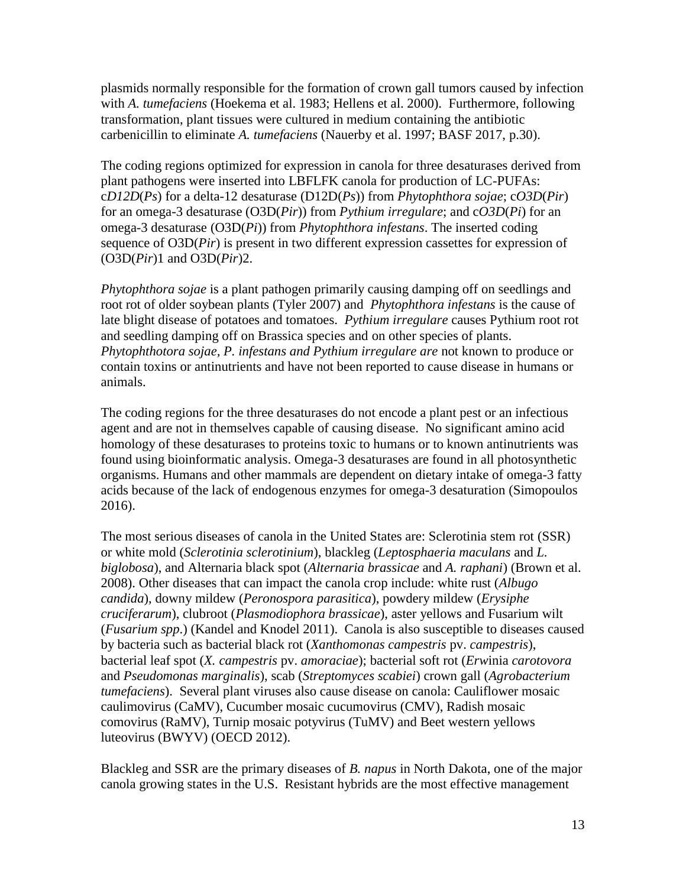plasmids normally responsible for the formation of crown gall tumors caused by infection with *A. tumefaciens* [\(Hoekema et al. 1983;](#page-32-0) [Hellens et al. 2000\)](#page-32-1). Furthermore, following transformation, plant tissues were cultured in medium containing the antibiotic carbenicillin to eliminate *A. tumefaciens* [\(Nauerby et al. 1997;](#page-33-4) [BASF 2017, p.30\)](#page-30-1).

The coding regions optimized for expression in canola for three desaturases derived from plant pathogens were inserted into LBFLFK canola for production of LC-PUFAs: c*D12D*(*Ps*) for a delta-12 desaturase (D12D(*Ps*)) from *Phytophthora sojae*; c*O3D*(*Pir*) for an omega-3 desaturase (O3D(*Pir*)) from *Pythium irregulare*; and c*O3D*(*Pi*) for an omega-3 desaturase (O3D(*Pi*)) from *Phytophthora infestans*. The inserted coding sequence of O3D(*Pir*) is present in two different expression cassettes for expression of (O3D(*Pir*)1 and O3D(*Pir*)2.

*Phytophthora sojae* is a plant pathogen primarily causing damping off on seedlings and root rot of older soybean plants [\(Tyler 2007\)](#page-35-4) and *Phytophthora infestans* is the cause of late blight disease of potatoes and tomatoes. *Pythium irregulare* causes Pythium root rot and seedling damping off on Brassica species and on other species of plants. *Phytophthotora sojae, P. infestans and Pythium irregulare are* not known to produce or contain toxins or antinutrients and have not been reported to cause disease in humans or animals.

The coding regions for the three desaturases do not encode a plant pest or an infectious agent and are not in themselves capable of causing disease. No significant amino acid homology of these desaturases to proteins toxic to humans or to known antinutrients was found using bioinformatic analysis. Omega-3 desaturases are found in all photosynthetic organisms. Humans and other mammals are dependent on dietary intake of omega-3 fatty acids because of the lack of endogenous enzymes for omega-3 desaturation [\(Simopoulos](#page-35-5)  [2016\)](#page-35-5).

The most serious diseases of canola in the United States are: Sclerotinia stem rot (SSR) or white mold (*Sclerotinia sclerotinium*), blackleg (*Leptosphaeria maculans* and *L. biglobosa*), and Alternaria black spot (*Alternaria brassicae* and *A. raphani*) [\(Brown et al.](#page-30-5)  [2008\)](#page-30-5). Other diseases that can impact the canola crop include: white rust (*Albugo candida*), downy mildew (*Peronospora parasitica*), powdery mildew (*Erysiphe cruciferarum*), clubroot (*Plasmodiophora brassicae*), aster yellows and Fusarium wilt (*Fusarium spp*.) [\(Kandel and Knodel 2011\)](#page-32-2). Canola is also susceptible to diseases caused by bacteria such as bacterial black rot (*Xanthomonas campestris* pv. *campestris*), bacterial leaf spot (*X. campestris* pv. *amoraciae*); bacterial soft rot (*Erw*inia *carotovora* and *Pseudomonas marginalis*), scab (*Streptomyces scabiei*) crown gall (*Agrobacterium tumefaciens*). Several plant viruses also cause disease on canola: Cauliflower mosaic caulimovirus (CaMV), Cucumber mosaic cucumovirus (CMV), Radish mosaic comovirus (RaMV), Turnip mosaic potyvirus (TuMV) and Beet western yellows luteovirus (BWYV) [\(OECD 2012\)](#page-34-2).

Blackleg and SSR are the primary diseases of *B. napus* in North Dakota, one of the major canola growing states in the U.S. Resistant hybrids are the most effective management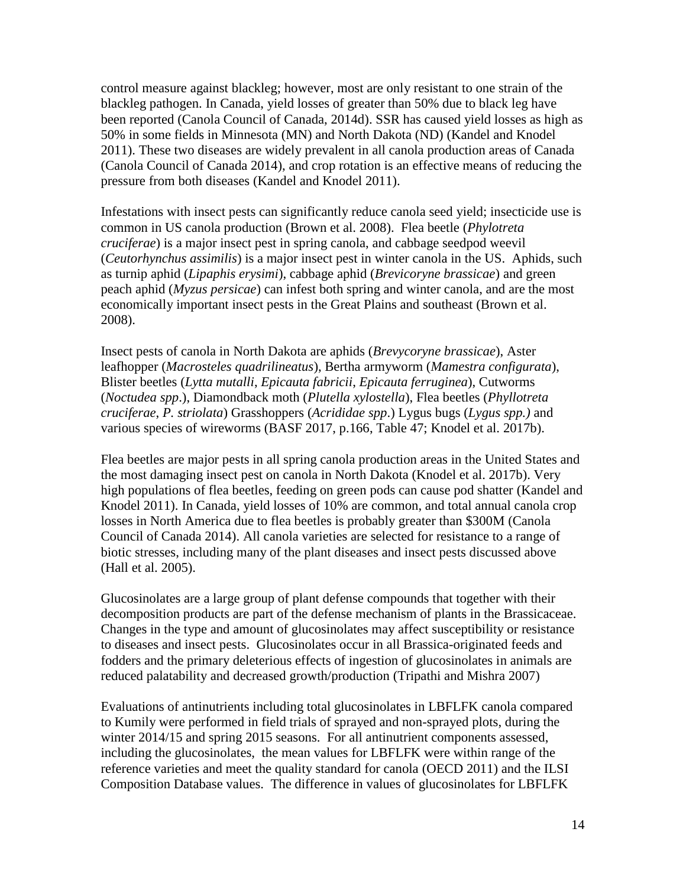control measure against blackleg; however, most are only resistant to one strain of the blackleg pathogen. In Canada, yield losses of greater than 50% due to black leg have been reported (Canola Council of Canada, 2014d). SSR has caused yield losses as high as 50% in some fields in Minnesota (MN) and North Dakota (ND) [\(Kandel and Knodel](#page-32-2)  [2011\)](#page-32-2). These two diseases are widely prevalent in all canola production areas of Canada [\(Canola Council of Canada 2014\)](#page-30-7), and crop rotation is an effective means of reducing the pressure from both diseases [\(Kandel and Knodel 2011\)](#page-32-2).

Infestations with insect pests can significantly reduce canola seed yield; insecticide use is common in US canola production [\(Brown et al. 2008\)](#page-30-5). Flea beetle (*Phylotreta cruciferae*) is a major insect pest in spring canola, and cabbage seedpod weevil (*Ceutorhynchus assimilis*) is a major insect pest in winter canola in the US. Aphids, such as turnip aphid (*Lipaphis erysimi*), cabbage aphid (*Brevicoryne brassicae*) and green peach aphid (*Myzus persicae*) can infest both spring and winter canola, and are the most economically important insect pests in the Great Plains and southeast [\(Brown et al.](#page-30-5)  [2008\)](#page-30-5).

Insect pests of canola in North Dakota are aphids (*Brevycoryne brassicae*), Aster leafhopper (*Macrosteles quadrilineatus*), Bertha armyworm (*Mamestra configurata*), Blister beetles (*Lytta mutalli*, *Epicauta fabricii*, *Epicauta ferruginea*), Cutworms (*Noctudea spp*.), Diamondback moth (*Plutella xylostella*), Flea beetles (*Phyllotreta cruciferae*, *P. striolata*) Grasshoppers (*Acrididae spp*.) Lygus bugs (*Lygus spp.)* and various species of wireworms [\(BASF 2017, p.166, Table 47;](#page-30-1) [Knodel et al. 2017b\)](#page-33-5).

Flea beetles are major pests in all spring canola production areas in the United States and the most damaging insect pest on canola in North Dakota [\(Knodel et al. 2017b\)](#page-33-5). Very high populations of flea beetles, feeding on green pods can cause pod shatter [\(Kandel and](#page-32-2)  [Knodel 2011\)](#page-32-2). In Canada, yield losses of 10% are common, and total annual canola crop losses in North America due to flea beetles is probably greater than \$300M [\(Canola](#page-30-7)  [Council of Canada 2014\)](#page-30-7). All canola varieties are selected for resistance to a range of biotic stresses, including many of the plant diseases and insect pests discussed above [\(Hall et al. 2005\)](#page-32-3).

Glucosinolates are a large group of plant defense compounds that together with their decomposition products are part of the defense mechanism of plants in the Brassicaceae. Changes in the type and amount of glucosinolates may affect susceptibility or resistance to diseases and insect pests. Glucosinolates occur in all Brassica-originated feeds and fodders and the primary deleterious effects of ingestion of glucosinolates in animals are reduced palatability and decreased growth/production [\(Tripathi and Mishra 2007\)](#page-35-6)

Evaluations of antinutrients including total glucosinolates in LBFLFK canola compared to Kumily were performed in field trials of sprayed and non-sprayed plots, during the winter 2014/15 and spring 2015 seasons. For all antinutrient components assessed, including the glucosinolates, the mean values for LBFLFK were within range of the reference varieties and meet the quality standard for canola [\(OECD 2011\)](#page-34-0) and the ILSI Composition Database values. The difference in values of glucosinolates for LBFLFK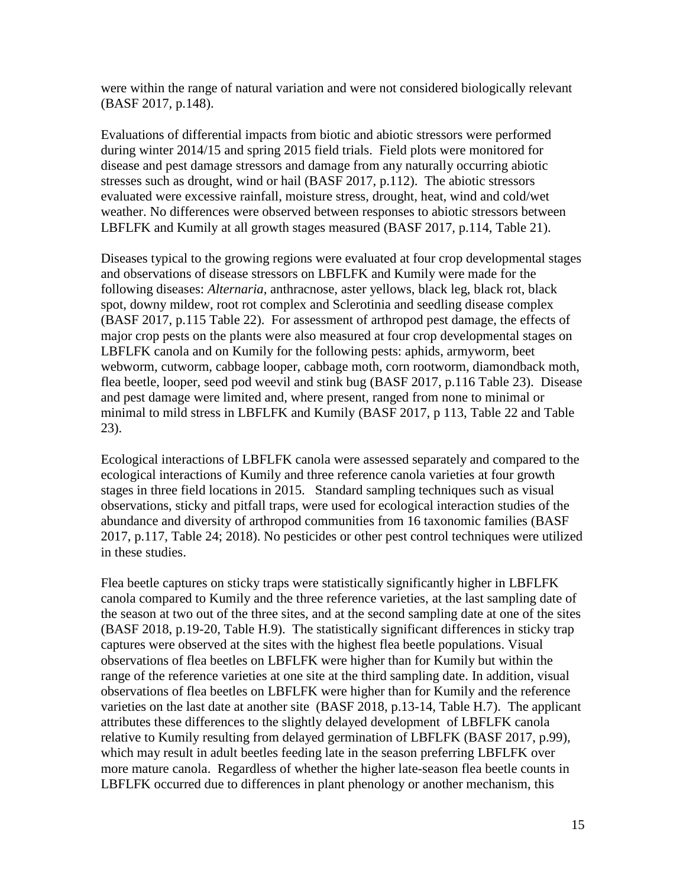were within the range of natural variation and were not considered biologically relevant [\(BASF 2017, p.148\)](#page-30-1).

Evaluations of differential impacts from biotic and abiotic stressors were performed during winter 2014/15 and spring 2015 field trials. Field plots were monitored for disease and pest damage stressors and damage from any naturally occurring abiotic stresses such as drought, wind or hail [\(BASF 2017, p.112\)](#page-30-1). The abiotic stressors evaluated were excessive rainfall, moisture stress, drought, heat, wind and cold/wet weather. No differences were observed between responses to abiotic stressors between LBFLFK and Kumily at all growth stages measured [\(BASF 2017, p.114, Table 21\)](#page-30-1).

Diseases typical to the growing regions were evaluated at four crop developmental stages and observations of disease stressors on LBFLFK and Kumily were made for the following diseases: *Alternaria*, anthracnose, aster yellows, black leg, black rot, black spot, downy mildew, root rot complex and Sclerotinia and seedling disease complex [\(BASF 2017, p.115 Table 22\)](#page-30-1). For assessment of arthropod pest damage, the effects of major crop pests on the plants were also measured at four crop developmental stages on LBFLFK canola and on Kumily for the following pests: aphids, armyworm, beet webworm, cutworm, cabbage looper, cabbage moth, corn rootworm, diamondback moth, flea beetle, looper, seed pod weevil and stink bug [\(BASF 2017, p.116 Table 23\)](#page-30-1). Disease and pest damage were limited and, where present, ranged from none to minimal or minimal to mild stress in LBFLFK and Kumily [\(BASF 2017, p 113, Table 22 and Table](#page-30-1)  [23\)](#page-30-1).

Ecological interactions of LBFLFK canola were assessed separately and compared to the ecological interactions of Kumily and three reference canola varieties at four growth stages in three field locations in 2015. Standard sampling techniques such as visual observations, sticky and pitfall traps, were used for ecological interaction studies of the abundance and diversity of arthropod communities from 16 taxonomic families [\(BASF](#page-30-1)  [2017, p.117, Table 24;](#page-30-1) [2018\)](#page-30-8). No pesticides or other pest control techniques were utilized in these studies.

Flea beetle captures on sticky traps were statistically significantly higher in LBFLFK canola compared to Kumily and the three reference varieties, at the last sampling date of the season at two out of the three sites, and at the second sampling date at one of the sites [\(BASF 2018, p.19-20, Table H.9\)](#page-30-8). The statistically significant differences in sticky trap captures were observed at the sites with the highest flea beetle populations. Visual observations of flea beetles on LBFLFK were higher than for Kumily but within the range of the reference varieties at one site at the third sampling date. In addition, visual observations of flea beetles on LBFLFK were higher than for Kumily and the reference varieties on the last date at another site [\(BASF 2018, p.13-14, Table H.7\)](#page-30-8). The applicant attributes these differences to the slightly delayed development of LBFLFK canola relative to Kumily resulting from delayed germination of LBFLFK [\(BASF 2017, p.99\)](#page-30-1), which may result in adult beetles feeding late in the season preferring LBFLFK over more mature canola. Regardless of whether the higher late-season flea beetle counts in LBFLFK occurred due to differences in plant phenology or another mechanism, this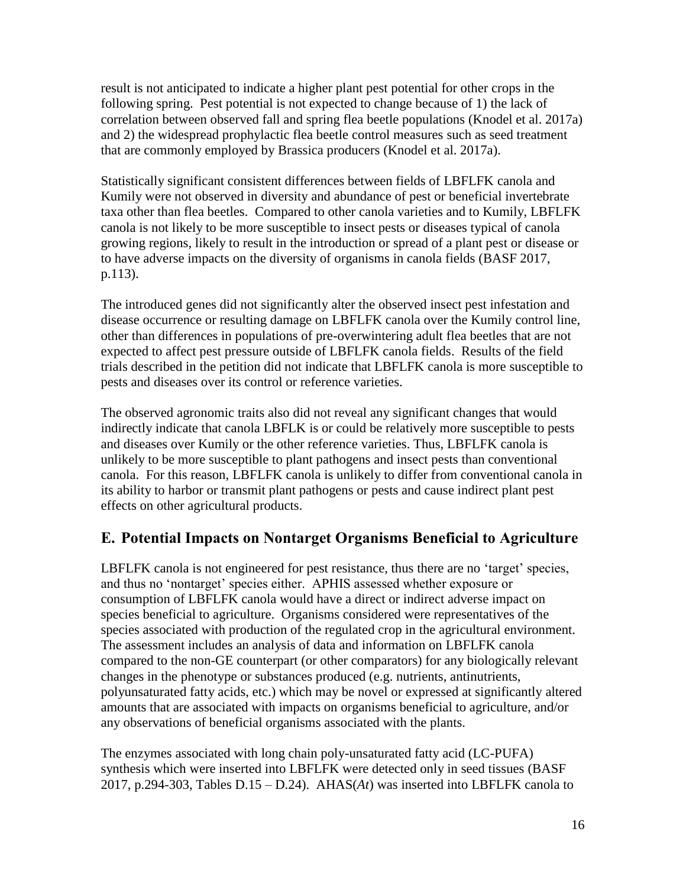result is not anticipated to indicate a higher plant pest potential for other crops in the following spring. Pest potential is not expected to change because of 1) the lack of correlation between observed fall and spring flea beetle populations [\(Knodel et al. 2017a\)](#page-33-6) and 2) the widespread prophylactic flea beetle control measures such as seed treatment that are commonly employed by Brassica producers [\(Knodel et al. 2017a\)](#page-33-6).

Statistically significant consistent differences between fields of LBFLFK canola and Kumily were not observed in diversity and abundance of pest or beneficial invertebrate taxa other than flea beetles. Compared to other canola varieties and to Kumily, LBFLFK canola is not likely to be more susceptible to insect pests or diseases typical of canola growing regions, likely to result in the introduction or spread of a plant pest or disease or to have adverse impacts on the diversity of organisms in canola fields [\(BASF 2017,](#page-30-1)  [p.113\)](#page-30-1).

The introduced genes did not significantly alter the observed insect pest infestation and disease occurrence or resulting damage on LBFLFK canola over the Kumily control line, other than differences in populations of pre-overwintering adult flea beetles that are not expected to affect pest pressure outside of LBFLFK canola fields. Results of the field trials described in the petition did not indicate that LBFLFK canola is more susceptible to pests and diseases over its control or reference varieties.

The observed agronomic traits also did not reveal any significant changes that would indirectly indicate that canola LBFLK is or could be relatively more susceptible to pests and diseases over Kumily or the other reference varieties. Thus, LBFLFK canola is unlikely to be more susceptible to plant pathogens and insect pests than conventional canola. For this reason, LBFLFK canola is unlikely to differ from conventional canola in its ability to harbor or transmit plant pathogens or pests and cause indirect plant pest effects on other agricultural products.

### <span id="page-17-0"></span>**E. Potential Impacts on Nontarget Organisms Beneficial to Agriculture**

LBFLFK canola is not engineered for pest resistance, thus there are no 'target' species, and thus no 'nontarget' species either. APHIS assessed whether exposure or consumption of LBFLFK canola would have a direct or indirect adverse impact on species beneficial to agriculture. Organisms considered were representatives of the species associated with production of the regulated crop in the agricultural environment. The assessment includes an analysis of data and information on LBFLFK canola compared to the non-GE counterpart (or other comparators) for any biologically relevant changes in the phenotype or substances produced (e.g. nutrients, antinutrients, polyunsaturated fatty acids, etc.) which may be novel or expressed at significantly altered amounts that are associated with impacts on organisms beneficial to agriculture, and/or any observations of beneficial organisms associated with the plants.

The enzymes associated with long chain poly-unsaturated fatty acid (LC-PUFA) synthesis which were inserted into LBFLFK were detected only in seed tissues [\(BASF](#page-30-1)  [2017, p.294-303, Tables D.15 –](#page-30-1) D.24). AHAS(*At*) was inserted into LBFLFK canola to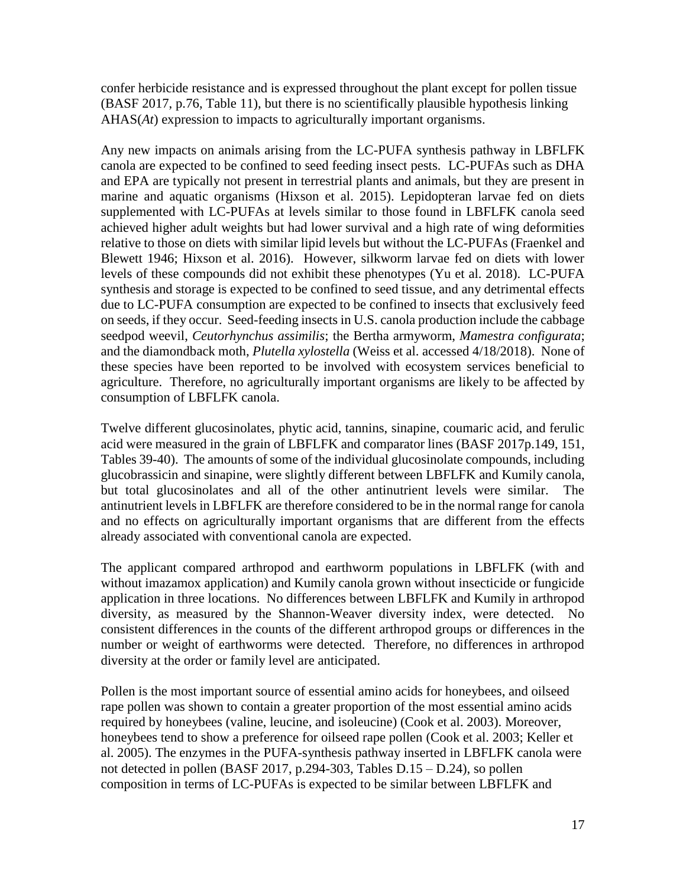confer herbicide resistance and is expressed throughout the plant except for pollen tissue [\(BASF 2017, p.76, Table 11\)](#page-30-1), but there is no scientifically plausible hypothesis linking AHAS(*At*) expression to impacts to agriculturally important organisms.

Any new impacts on animals arising from the LC-PUFA synthesis pathway in LBFLFK canola are expected to be confined to seed feeding insect pests. LC-PUFAs such as DHA and EPA are typically not present in terrestrial plants and animals, but they are present in marine and aquatic organisms (Hixson et al. 2015). Lepidopteran larvae fed on diets supplemented with LC-PUFAs at levels similar to those found in LBFLFK canola seed achieved higher adult weights but had lower survival and a high rate of wing deformities relative to those on diets with similar lipid levels but without the LC-PUFAs [\(Fraenkel and](#page-31-2)  [Blewett 1946;](#page-31-2) [Hixson et al. 2016\)](#page-32-4). However, silkworm larvae fed on diets with lower levels of these compounds did not exhibit these phenotypes [\(Yu et al. 2018\)](#page-37-0). LC-PUFA synthesis and storage is expected to be confined to seed tissue, and any detrimental effects due to LC-PUFA consumption are expected to be confined to insects that exclusively feed on seeds, if they occur. Seed-feeding insects in U.S. canola production include the cabbage seedpod weevil, *Ceutorhynchus assimilis*; the Bertha armyworm, *Mamestra configurata*; and the diamondback moth, *Plutella xylostella* [\(Weiss et al. accessed 4/18/2018\)](#page-36-2). None of these species have been reported to be involved with ecosystem services beneficial to agriculture. Therefore, no agriculturally important organisms are likely to be affected by consumption of LBFLFK canola.

Twelve different glucosinolates, phytic acid, tannins, sinapine, coumaric acid, and ferulic acid were measured in the grain of LBFLFK and comparator lines [\(BASF 2017p.149, 151,](#page-30-1)  [Tables 39-40\)](#page-30-1). The amounts of some of the individual glucosinolate compounds, including glucobrassicin and sinapine, were slightly different between LBFLFK and Kumily canola, but total glucosinolates and all of the other antinutrient levels were similar. The antinutrient levels in LBFLFK are therefore considered to be in the normal range for canola and no effects on agriculturally important organisms that are different from the effects already associated with conventional canola are expected.

The applicant compared arthropod and earthworm populations in LBFLFK (with and without imazamox application) and Kumily canola grown without insecticide or fungicide application in three locations. No differences between LBFLFK and Kumily in arthropod diversity, as measured by the Shannon-Weaver diversity index, were detected. No consistent differences in the counts of the different arthropod groups or differences in the number or weight of earthworms were detected. Therefore, no differences in arthropod diversity at the order or family level are anticipated.

Pollen is the most important source of essential amino acids for honeybees, and oilseed rape pollen was shown to contain a greater proportion of the most essential amino acids required by honeybees (valine, leucine, and isoleucine) [\(Cook et al. 2003\)](#page-31-3). Moreover, honeybees tend to show a preference for oilseed rape pollen [\(Cook et al. 2003;](#page-31-3) [Keller et](#page-32-5)  [al. 2005\)](#page-32-5). The enzymes in the PUFA-synthesis pathway inserted in LBFLFK canola were not detected in pollen [\(BASF 2017, p.294-303, Tables D.15 –](#page-30-1) D.24), so pollen composition in terms of LC-PUFAs is expected to be similar between LBFLFK and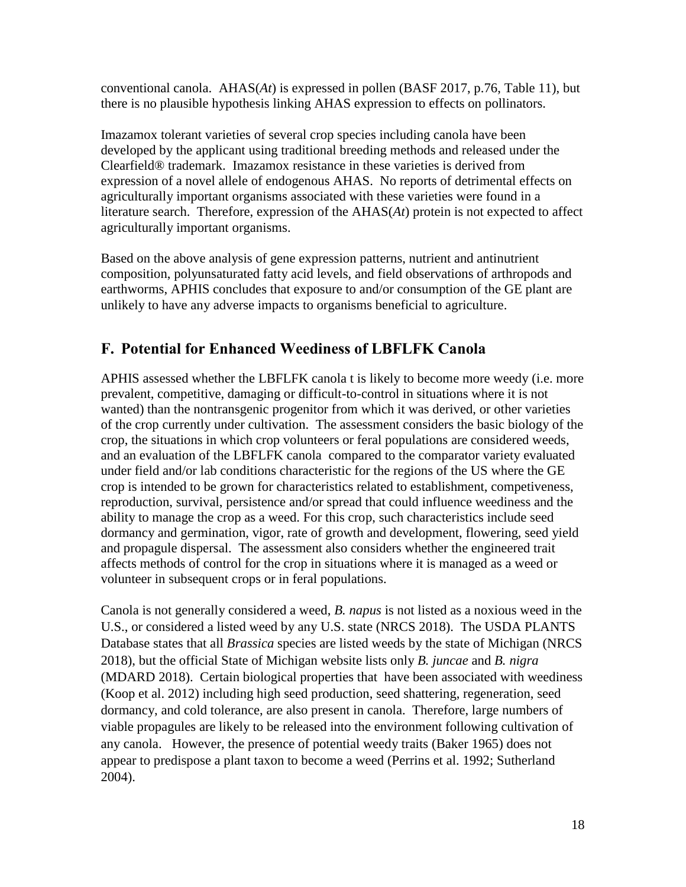conventional canola. AHAS(*At*) is expressed in pollen [\(BASF 2017, p.76, Table 11\)](#page-30-1), but there is no plausible hypothesis linking AHAS expression to effects on pollinators.

Imazamox tolerant varieties of several crop species including canola have been developed by the applicant using traditional breeding methods and released under the Clearfield® trademark. Imazamox resistance in these varieties is derived from expression of a novel allele of endogenous AHAS. No reports of detrimental effects on agriculturally important organisms associated with these varieties were found in a literature search. Therefore, expression of the AHAS(*At*) protein is not expected to affect agriculturally important organisms.

Based on the above analysis of gene expression patterns, nutrient and antinutrient composition, polyunsaturated fatty acid levels, and field observations of arthropods and earthworms, APHIS concludes that exposure to and/or consumption of the GE plant are unlikely to have any adverse impacts to organisms beneficial to agriculture.

### <span id="page-19-0"></span>**F. Potential for Enhanced Weediness of LBFLFK Canola**

APHIS assessed whether the LBFLFK canola t is likely to become more weedy (i.e. more prevalent, competitive, damaging or difficult-to-control in situations where it is not wanted) than the nontransgenic progenitor from which it was derived, or other varieties of the crop currently under cultivation. The assessment considers the basic biology of the crop, the situations in which crop volunteers or feral populations are considered weeds, and an evaluation of the LBFLFK canola compared to the comparator variety evaluated under field and/or lab conditions characteristic for the regions of the US where the GE crop is intended to be grown for characteristics related to establishment, competiveness, reproduction, survival, persistence and/or spread that could influence weediness and the ability to manage the crop as a weed. For this crop, such characteristics include seed dormancy and germination, vigor, rate of growth and development, flowering, seed yield and propagule dispersal. The assessment also considers whether the engineered trait affects methods of control for the crop in situations where it is managed as a weed or volunteer in subsequent crops or in feral populations.

Canola is not generally considered a weed, *B. napus* is not listed as a noxious weed in the U.S., or considered a listed weed by any U.S. state [\(NRCS 2018\)](#page-33-7). The USDA PLANTS Database states that all *Brassica* species are listed weeds by the state of Michigan [\(NRCS](#page-33-7)  [2018\)](#page-33-7), but the official State of Michigan website lists only *B. juncae* and *B. nigra*  [\(MDARD 2018\)](#page-33-8). Certain biological properties that have been associated with weediness [\(Koop et al. 2012\)](#page-33-9) including high seed production, seed shattering, regeneration, seed dormancy, and cold tolerance, are also present in canola. Therefore, large numbers of viable propagules are likely to be released into the environment following cultivation of any canola. However, the presence of potential weedy traits [\(Baker 1965\)](#page-30-9) does not appear to predispose a plant taxon to become a weed [\(Perrins et al. 1992;](#page-34-3) [Sutherland](#page-35-7)  [2004\)](#page-35-7).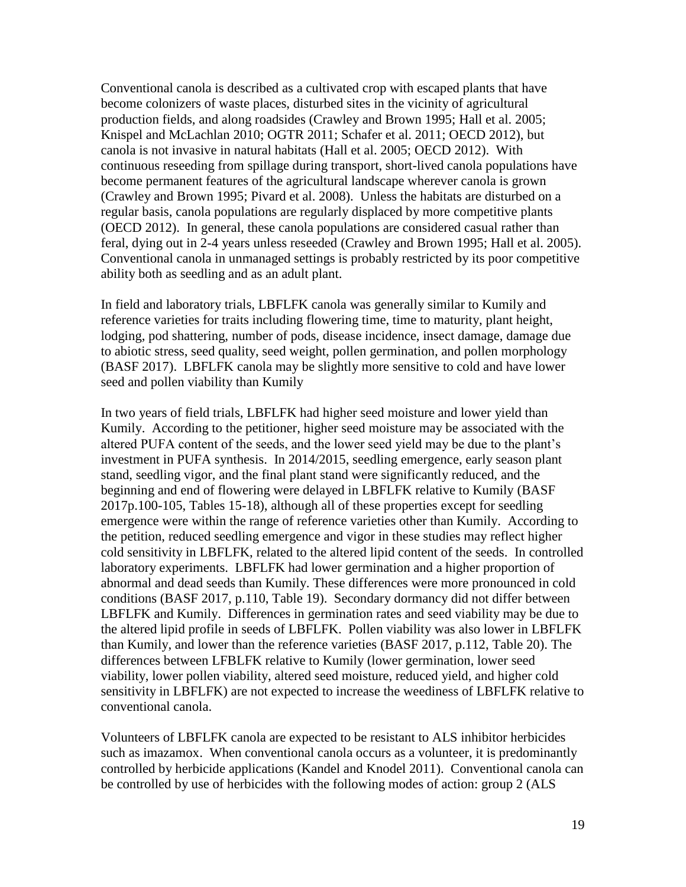Conventional canola is described as a cultivated crop with escaped plants that have become colonizers of waste places, disturbed sites in the vicinity of agricultural production fields, and along roadsides [\(Crawley and Brown 1995;](#page-31-4) [Hall et al. 2005;](#page-32-3) [Knispel and McLachlan 2010;](#page-32-6) [OGTR 2011;](#page-34-4) [Schafer et al. 2011;](#page-34-5) [OECD 2012\)](#page-34-2), but canola is not invasive in natural habitats [\(Hall et al. 2005;](#page-32-3) [OECD 2012\)](#page-34-2). With continuous reseeding from spillage during transport, short-lived canola populations have become permanent features of the agricultural landscape wherever canola is grown [\(Crawley and Brown 1995;](#page-31-4) [Pivard et al. 2008\)](#page-34-6). Unless the habitats are disturbed on a regular basis, canola populations are regularly displaced by more competitive plants [\(OECD 2012\)](#page-34-2). In general, these canola populations are considered casual rather than feral, dying out in 2-4 years unless reseeded [\(Crawley and Brown 1995;](#page-31-4) [Hall et al. 2005\)](#page-32-3). Conventional canola in unmanaged settings is probably restricted by its poor competitive ability both as seedling and as an adult plant.

In field and laboratory trials, LBFLFK canola was generally similar to Kumily and reference varieties for traits including flowering time, time to maturity, plant height, lodging, pod shattering, number of pods, disease incidence, insect damage, damage due to abiotic stress, seed quality, seed weight, pollen germination, and pollen morphology (BASF 2017). LBFLFK canola may be slightly more sensitive to cold and have lower seed and pollen viability than Kumily

In two years of field trials, LBFLFK had higher seed moisture and lower yield than Kumily. According to the petitioner, higher seed moisture may be associated with the altered PUFA content of the seeds, and the lower seed yield may be due to the plant's investment in PUFA synthesis. In 2014/2015, seedling emergence, early season plant stand, seedling vigor, and the final plant stand were significantly reduced, and the beginning and end of flowering were delayed in LBFLFK relative to Kumily [\(BASF](#page-30-1)  [2017p.100-105, Tables 15-18\)](#page-30-1), although all of these properties except for seedling emergence were within the range of reference varieties other than Kumily. According to the petition, reduced seedling emergence and vigor in these studies may reflect higher cold sensitivity in LBFLFK, related to the altered lipid content of the seeds. In controlled laboratory experiments. LBFLFK had lower germination and a higher proportion of abnormal and dead seeds than Kumily. These differences were more pronounced in cold conditions [\(BASF 2017, p.110, Table 19\)](#page-30-1). Secondary dormancy did not differ between LBFLFK and Kumily. Differences in germination rates and seed viability may be due to the altered lipid profile in seeds of LBFLFK. Pollen viability was also lower in LBFLFK than Kumily, and lower than the reference varieties [\(BASF 2017, p.112, Table 20\)](#page-30-1). The differences between LFBLFK relative to Kumily (lower germination, lower seed viability, lower pollen viability, altered seed moisture, reduced yield, and higher cold sensitivity in LBFLFK) are not expected to increase the weediness of LBFLFK relative to conventional canola.

Volunteers of LBFLFK canola are expected to be resistant to ALS inhibitor herbicides such as imazamox. When conventional canola occurs as a volunteer, it is predominantly controlled by herbicide applications (Kandel and Knodel 2011). Conventional canola can be controlled by use of herbicides with the following modes of action: group 2 (ALS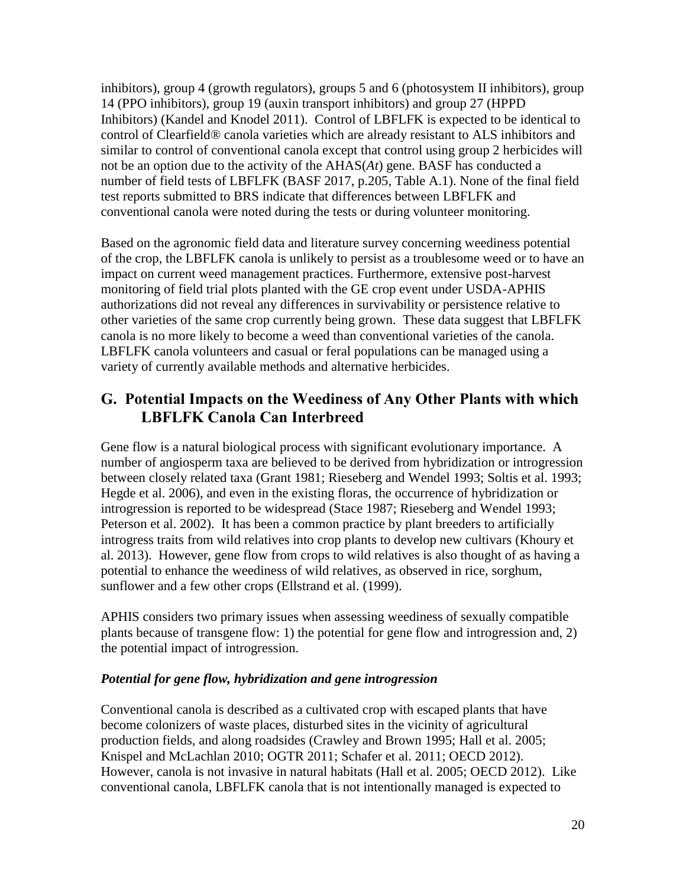inhibitors), group 4 (growth regulators), groups 5 and 6 (photosystem II inhibitors), group 14 (PPO inhibitors), group 19 (auxin transport inhibitors) and group 27 (HPPD Inhibitors) (Kandel and Knodel 2011). Control of LBFLFK is expected to be identical to control of Clearfield® canola varieties which are already resistant to ALS inhibitors and similar to control of conventional canola except that control using group 2 herbicides will not be an option due to the activity of the AHAS(*At*) gene. BASF has conducted a number of field tests of LBFLFK (BASF 2017, p.205, Table A.1). None of the final field test reports submitted to BRS indicate that differences between LBFLFK and conventional canola were noted during the tests or during volunteer monitoring.

Based on the agronomic field data and literature survey concerning weediness potential of the crop, the LBFLFK canola is unlikely to persist as a troublesome weed or to have an impact on current weed management practices. Furthermore, extensive post-harvest monitoring of field trial plots planted with the GE crop event under USDA-APHIS authorizations did not reveal any differences in survivability or persistence relative to other varieties of the same crop currently being grown. These data suggest that LBFLFK canola is no more likely to become a weed than conventional varieties of the canola. LBFLFK canola volunteers and casual or feral populations can be managed using a variety of currently available methods and alternative herbicides.

### <span id="page-21-0"></span>**G. Potential Impacts on the Weediness of Any Other Plants with which LBFLFK Canola Can Interbreed**

Gene flow is a natural biological process with significant evolutionary importance. A number of angiosperm taxa are believed to be derived from hybridization or introgression between closely related taxa [\(Grant 1981;](#page-31-5) [Rieseberg and Wendel 1993;](#page-34-7) [Soltis et al. 1993;](#page-35-8) [Hegde et al. 2006\)](#page-32-7), and even in the existing floras, the occurrence of hybridization or introgression is reported to be widespread [\(Stace 1987;](#page-35-9) [Rieseberg and Wendel 1993;](#page-34-7) [Peterson et al. 2002\)](#page-34-8). It has been a common practice by plant breeders to artificially introgress traits from wild relatives into crop plants to develop new cultivars [\(Khoury et](#page-32-8)  [al. 2013\)](#page-32-8). However, gene flow from crops to wild relatives is also thought of as having a potential to enhance the weediness of wild relatives, as observed in rice, sorghum, sunflower and a few other crops (Ellstrand et al. [\(1999\)](#page-31-6).

APHIS considers two primary issues when assessing weediness of sexually compatible plants because of transgene flow: 1) the potential for gene flow and introgression and, 2) the potential impact of introgression.

#### *Potential for gene flow, hybridization and gene introgression*

Conventional canola is described as a cultivated crop with escaped plants that have become colonizers of waste places, disturbed sites in the vicinity of agricultural production fields, and along roadsides [\(Crawley and](#page-31-4) Brown 1995; [Hall et al. 2005;](#page-32-3) [Knispel and McLachlan 2010;](#page-32-6) [OGTR 2011;](#page-34-4) [Schafer et al. 2011;](#page-34-5) [OECD 2012\)](#page-34-2). However, canola is not invasive in natural habitats [\(Hall et al. 2005;](#page-32-3) [OECD 2012\)](#page-34-2). Like conventional canola, LBFLFK canola that is not intentionally managed is expected to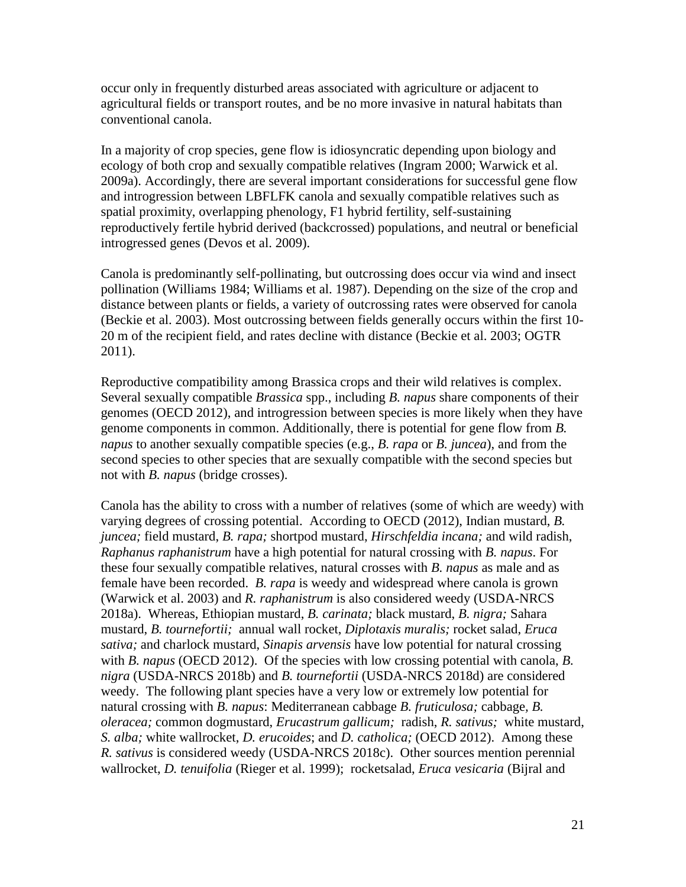occur only in frequently disturbed areas associated with agriculture or adjacent to agricultural fields or transport routes, and be no more invasive in natural habitats than conventional canola.

In a majority of crop species, gene flow is idiosyncratic depending upon biology and ecology of both crop and sexually compatible relatives [\(Ingram 2000;](#page-32-9) [Warwick et al.](#page-36-3)  [2009a\)](#page-36-3). Accordingly, there are several important considerations for successful gene flow and introgression between LBFLFK canola and sexually compatible relatives such as spatial proximity, overlapping phenology, F1 hybrid fertility, self-sustaining reproductively fertile hybrid derived (backcrossed) populations, and neutral or beneficial introgressed genes [\(Devos et al. 2009\)](#page-31-7).

Canola is predominantly self-pollinating, but outcrossing does occur via wind and insect pollination [\(Williams 1984;](#page-36-4) [Williams et al. 1987\)](#page-36-5). Depending on the size of the crop and distance between plants or fields, a variety of outcrossing rates were observed for canola [\(Beckie et al. 2003\)](#page-30-10). Most outcrossing between fields generally occurs within the first 10- 20 m of the recipient field, and rates decline with distance [\(Beckie et al. 2003;](#page-30-10) [OGTR](#page-34-4)  [2011\)](#page-34-4).

Reproductive compatibility among Brassica crops and their wild relatives is complex. Several sexually compatible *Brassica* spp., including *B. napus* share components of their genomes [\(OECD 2012\)](#page-34-2), and introgression between species is more likely when they have genome components in common. Additionally, there is potential for gene flow from *B. napus* to another sexually compatible species (e.g., *B. rapa* or *B. juncea*), and from the second species to other species that are sexually compatible with the second species but not with *B. napus* (bridge crosses).

Canola has the ability to cross with a number of relatives (some of which are weedy) with varying degrees of crossing potential. According to OECD [\(2012\)](#page-34-2), Indian mustard, *B. juncea;* field mustard, *B. rapa;* shortpod mustard, *Hirschfeldia incana;* and wild radish, *Raphanus raphanistrum* have a high potential for natural crossing with *B. napus*. For these four sexually compatible relatives, natural crosses with *B. napus* as male and as female have been recorded. *B. rapa* is weedy and widespread where canola is grown [\(Warwick et al. 2003\)](#page-36-6) and *R. raphanistrum* is also considered weedy [\(USDA-NRCS](#page-36-7)  [2018a\)](#page-36-7). Whereas, Ethiopian mustard, *B. carinata;* black mustard, *B. nigra;* Sahara mustard, *B. tournefortii;* annual wall rocket, *Diplotaxis muralis;* rocket salad, *Eruca sativa;* and charlock mustard, *Sinapis arvensis* have low potential for natural crossing with *B. napus* [\(OECD 2012\)](#page-34-2). Of the species with low crossing potential with canola, *B*. *nigra* [\(USDA-NRCS 2018b\)](#page-36-8) and *B. tournefortii* [\(USDA-NRCS 2018d\)](#page-36-9) are considered weedy. The following plant species have a very low or extremely low potential for natural crossing with *B. napus*: Mediterranean cabbage *B. fruticulosa;* cabbage*, B. oleracea;* common dogmustard, *Erucastrum gallicum;* radish, *R. sativus;* white mustard, *S. alba;* white wallrocket, *D. erucoides*; and *D. catholica;* [\(OECD 2012\)](#page-34-2). Among these *R. sativus* is considered weedy [\(USDA-NRCS 2018c\)](#page-36-10). Other sources mention perennial wallrocket, *D. tenuifolia* [\(Rieger et al. 1999\)](#page-34-9); rocketsalad, *Eruca vesicaria* [\(Bijral and](#page-30-11)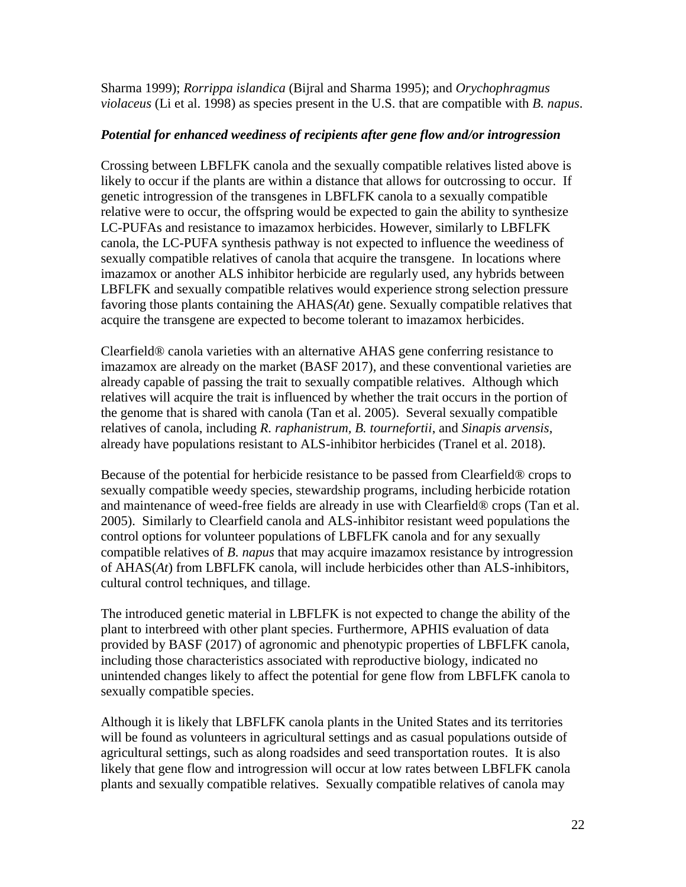[Sharma 1999\)](#page-30-11); *Rorrippa islandica* [\(Bijral and Sharma 1995\)](#page-30-12); and *Orychophragmus violaceus* [\(Li et al. 1998\)](#page-33-10) as species present in the U.S. that are compatible with *B. napus*.

#### *Potential for enhanced weediness of recipients after gene flow and/or introgression*

Crossing between LBFLFK canola and the sexually compatible relatives listed above is likely to occur if the plants are within a distance that allows for outcrossing to occur. If genetic introgression of the transgenes in LBFLFK canola to a sexually compatible relative were to occur, the offspring would be expected to gain the ability to synthesize LC-PUFAs and resistance to imazamox herbicides. However, similarly to LBFLFK canola, the LC-PUFA synthesis pathway is not expected to influence the weediness of sexually compatible relatives of canola that acquire the transgene. In locations where imazamox or another ALS inhibitor herbicide are regularly used, any hybrids between LBFLFK and sexually compatible relatives would experience strong selection pressure favoring those plants containing the AHAS*(At*) gene. Sexually compatible relatives that acquire the transgene are expected to become tolerant to imazamox herbicides.

Clearfield® canola varieties with an alternative AHAS gene conferring resistance to imazamox are already on the market [\(BASF 2017\)](#page-30-1), and these conventional varieties are already capable of passing the trait to sexually compatible relatives. Although which relatives will acquire the trait is influenced by whether the trait occurs in the portion of the genome that is shared with canola [\(Tan et al. 2005\)](#page-35-2). Several sexually compatible relatives of canola, including *R. raphanistrum, B. tournefortii*, and *Sinapis arvensis*, already have populations resistant to ALS-inhibitor herbicides [\(Tranel et al. 2018\)](#page-35-10).

Because of the potential for herbicide resistance to be passed from Clearfield® crops to sexually compatible weedy species, stewardship programs, including herbicide rotation and maintenance of weed-free fields are already in use with Clearfield® crops [\(Tan et al.](#page-35-2)  [2005\)](#page-35-2). Similarly to Clearfield canola and ALS-inhibitor resistant weed populations the control options for volunteer populations of LBFLFK canola and for any sexually compatible relatives of *B. napus* that may acquire imazamox resistance by introgression of AHAS(*At*) from LBFLFK canola, will include herbicides other than ALS-inhibitors, cultural control techniques, and tillage.

The introduced genetic material in LBFLFK is not expected to change the ability of the plant to interbreed with other plant species. Furthermore, APHIS evaluation of data provided by BASF (2017) of agronomic and phenotypic properties of LBFLFK canola, including those characteristics associated with reproductive biology, indicated no unintended changes likely to affect the potential for gene flow from LBFLFK canola to sexually compatible species.

Although it is likely that LBFLFK canola plants in the United States and its territories will be found as volunteers in agricultural settings and as casual populations outside of agricultural settings, such as along roadsides and seed transportation routes. It is also likely that gene flow and introgression will occur at low rates between LBFLFK canola plants and sexually compatible relatives. Sexually compatible relatives of canola may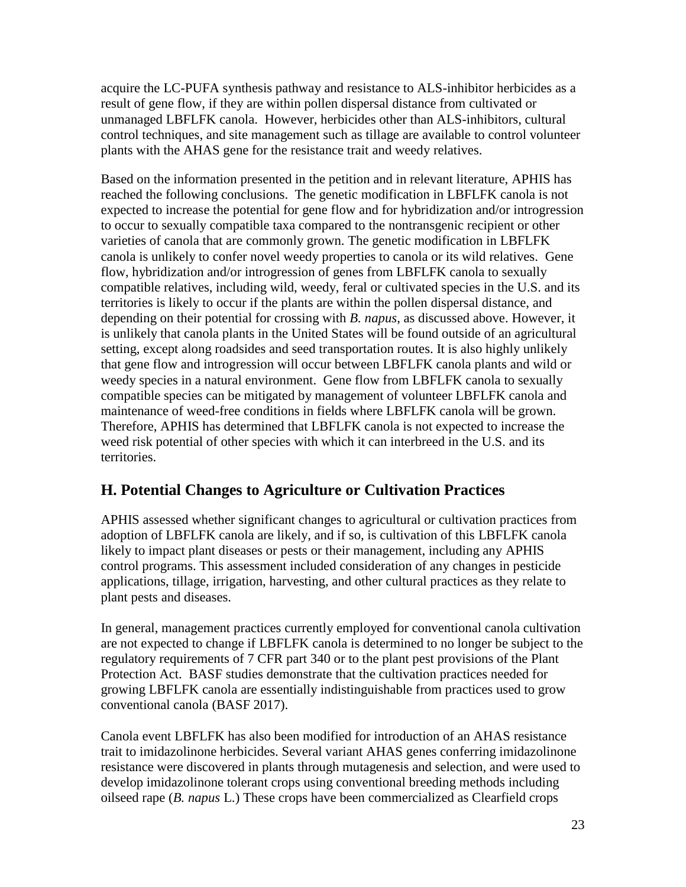acquire the LC-PUFA synthesis pathway and resistance to ALS-inhibitor herbicides as a result of gene flow, if they are within pollen dispersal distance from cultivated or unmanaged LBFLFK canola. However, herbicides other than ALS-inhibitors, cultural control techniques, and site management such as tillage are available to control volunteer plants with the AHAS gene for the resistance trait and weedy relatives.

Based on the information presented in the petition and in relevant literature, APHIS has reached the following conclusions. The genetic modification in LBFLFK canola is not expected to increase the potential for gene flow and for hybridization and/or introgression to occur to sexually compatible taxa compared to the nontransgenic recipient or other varieties of canola that are commonly grown. The genetic modification in LBFLFK canola is unlikely to confer novel weedy properties to canola or its wild relatives. Gene flow, hybridization and/or introgression of genes from LBFLFK canola to sexually compatible relatives, including wild, weedy, feral or cultivated species in the U.S. and its territories is likely to occur if the plants are within the pollen dispersal distance, and depending on their potential for crossing with *B. napus*, as discussed above. However, it is unlikely that canola plants in the United States will be found outside of an agricultural setting, except along roadsides and seed transportation routes. It is also highly unlikely that gene flow and introgression will occur between LBFLFK canola plants and wild or weedy species in a natural environment. Gene flow from LBFLFK canola to sexually compatible species can be mitigated by management of volunteer LBFLFK canola and maintenance of weed-free conditions in fields where LBFLFK canola will be grown. Therefore, APHIS has determined that LBFLFK canola is not expected to increase the weed risk potential of other species with which it can interbreed in the U.S. and its territories.

#### <span id="page-24-0"></span>**H. Potential Changes to Agriculture or Cultivation Practices**

APHIS assessed whether significant changes to agricultural or cultivation practices from adoption of LBFLFK canola are likely, and if so, is cultivation of this LBFLFK canola likely to impact plant diseases or pests or their management, including any APHIS control programs. This assessment included consideration of any changes in pesticide applications, tillage, irrigation, harvesting, and other cultural practices as they relate to plant pests and diseases.

In general, management practices currently employed for conventional canola cultivation are not expected to change if LBFLFK canola is determined to no longer be subject to the regulatory requirements of 7 CFR part 340 or to the plant pest provisions of the Plant Protection Act. BASF studies demonstrate that the cultivation practices needed for growing LBFLFK canola are essentially indistinguishable from practices used to grow conventional canola [\(BASF 2017\)](#page-30-1).

Canola event LBFLFK has also been modified for introduction of an AHAS resistance trait to imidazolinone herbicides. Several variant AHAS genes conferring imidazolinone resistance were discovered in plants through mutagenesis and selection, and were used to develop imidazolinone tolerant crops using conventional breeding methods including oilseed rape (*B. napus* L.) These crops have been commercialized as Clearfield crops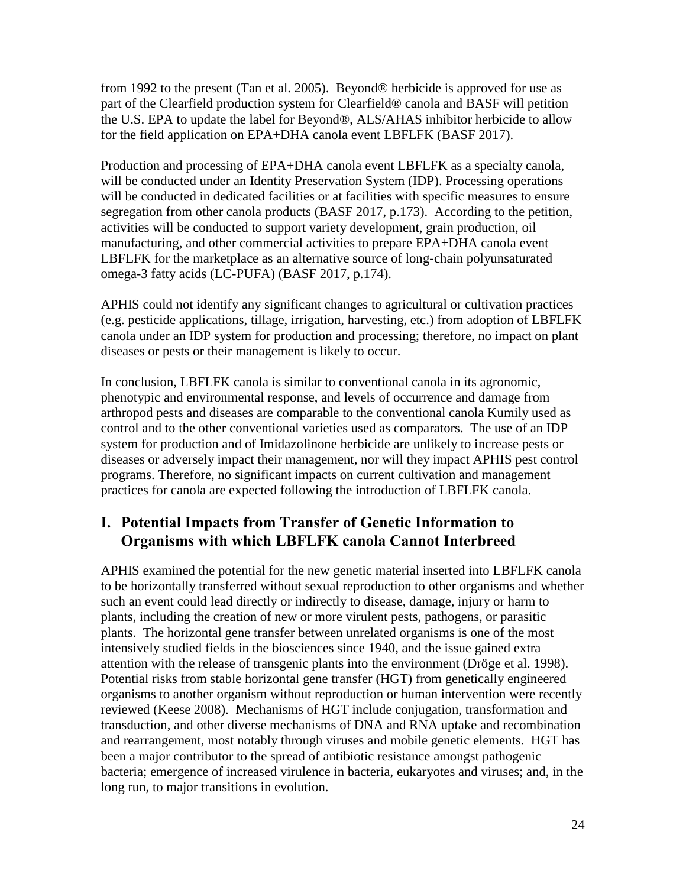from 1992 to the present [\(Tan et al. 2005\)](#page-35-2). Beyond® herbicide is approved for use as part of the Clearfield production system for Clearfield® canola and BASF will petition the U.S. EPA to update the label for Beyond®, ALS/AHAS inhibitor herbicide to allow for the field application on EPA+DHA canola event LBFLFK [\(BASF 2017\)](#page-30-1).

Production and processing of EPA+DHA canola event LBFLFK as a specialty canola, will be conducted under an Identity Preservation System (IDP). Processing operations will be conducted in dedicated facilities or at facilities with specific measures to ensure segregation from other canola products [\(BASF 2017, p.173\)](#page-30-1). According to the petition, activities will be conducted to support variety development, grain production, oil manufacturing, and other commercial activities to prepare EPA+DHA canola event LBFLFK for the marketplace as an alternative source of long-chain polyunsaturated omega-3 fatty acids (LC-PUFA) [\(BASF 2017, p.174\)](#page-30-1).

APHIS could not identify any significant changes to agricultural or cultivation practices (e.g. pesticide applications, tillage, irrigation, harvesting, etc.) from adoption of LBFLFK canola under an IDP system for production and processing; therefore, no impact on plant diseases or pests or their management is likely to occur.

In conclusion, LBFLFK canola is similar to conventional canola in its agronomic, phenotypic and environmental response, and levels of occurrence and damage from arthropod pests and diseases are comparable to the conventional canola Kumily used as control and to the other conventional varieties used as comparators. The use of an IDP system for production and of Imidazolinone herbicide are unlikely to increase pests or diseases or adversely impact their management, nor will they impact APHIS pest control programs. Therefore, no significant impacts on current cultivation and management practices for canola are expected following the introduction of LBFLFK canola.

### <span id="page-25-0"></span>**I. Potential Impacts from Transfer of Genetic Information to Organisms with which LBFLFK canola Cannot Interbreed**

APHIS examined the potential for the new genetic material inserted into LBFLFK canola to be horizontally transferred without sexual reproduction to other organisms and whether such an event could lead directly or indirectly to disease, damage, injury or harm to plants, including the creation of new or more virulent pests, pathogens, or parasitic plants. The horizontal gene transfer between unrelated organisms is one of the most intensively studied fields in the biosciences since 1940, and the issue gained extra attention with the release of transgenic plants into the environment [\(Dröge et al. 1998\)](#page-31-8). Potential risks from stable horizontal gene transfer (HGT) from genetically engineered organisms to another organism without reproduction or human intervention were recently reviewed [\(Keese 2008\)](#page-32-10). Mechanisms of HGT include conjugation, transformation and transduction, and other diverse mechanisms of DNA and RNA uptake and recombination and rearrangement, most notably through viruses and mobile genetic elements. HGT has been a major contributor to the spread of antibiotic resistance amongst pathogenic bacteria; emergence of increased virulence in bacteria, eukaryotes and viruses; and, in the long run, to major transitions in evolution.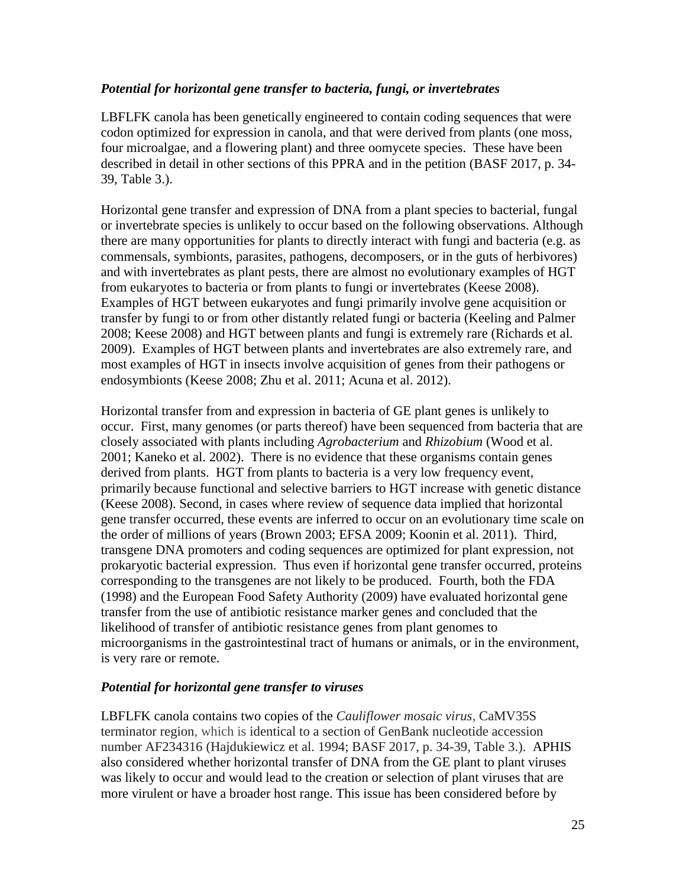#### *Potential for horizontal gene transfer to bacteria, fungi, or invertebrates*

LBFLFK canola has been genetically engineered to contain coding sequences that were codon optimized for expression in canola, and that were derived from plants (one moss, four microalgae, and a flowering plant) and three oomycete species. These have been described in detail in other sections of this PPRA and in the petition [\(BASF 2017, p. 34-](#page-30-1) [39, Table 3.\)](#page-30-1).

Horizontal gene transfer and expression of DNA from a plant species to bacterial, fungal or invertebrate species is unlikely to occur based on the following observations. Although there are many opportunities for plants to directly interact with fungi and bacteria (e.g. as commensals, symbionts, parasites, pathogens, decomposers, or in the guts of herbivores) and with invertebrates as plant pests, there are almost no evolutionary examples of HGT from eukaryotes to bacteria or from plants to fungi or invertebrates [\(Keese 2008\)](#page-32-10). Examples of HGT between eukaryotes and fungi primarily involve gene acquisition or transfer by fungi to or from other distantly related fungi or bacteria [\(Keeling and Palmer](#page-32-11)  [2008;](#page-32-11) [Keese 2008\)](#page-32-10) and HGT between plants and fungi is extremely rare [\(Richards et al.](#page-34-10)  [2009\)](#page-34-10). Examples of HGT between plants and invertebrates are also extremely rare, and most examples of HGT in insects involve acquisition of genes from their pathogens or endosymbionts [\(Keese 2008;](#page-32-10) [Zhu et al. 2011;](#page-37-1) [Acuna et al. 2012\)](#page-30-13).

Horizontal transfer from and expression in bacteria of GE plant genes is unlikely to occur. First, many genomes (or parts thereof) have been sequenced from bacteria that are closely associated with plants including *Agrobacterium* and *Rhizobium* [\(Wood et al.](#page-36-11)  [2001;](#page-36-11) [Kaneko et al. 2002\)](#page-32-12). There is no evidence that these organisms contain genes derived from plants. HGT from plants to bacteria is a very low frequency event, primarily because functional and selective barriers to HGT increase with genetic distance [\(Keese 2008\)](#page-32-10). Second, in cases where review of sequence data implied that horizontal gene transfer occurred, these events are inferred to occur on an evolutionary time scale on the order of millions of years [\(Brown 2003;](#page-30-14) [EFSA 2009;](#page-31-9) [Koonin et al. 2011\)](#page-33-11). Third, transgene DNA promoters and coding sequences are optimized for plant expression, not prokaryotic bacterial expression. Thus even if horizontal gene transfer occurred, proteins corresponding to the transgenes are not likely to be produced. Fourth, both the FDA [\(1998\)](#page-35-11) and the European Food Safety Authority [\(2009\)](#page-31-9) have evaluated horizontal gene transfer from the use of antibiotic resistance marker genes and concluded that the likelihood of transfer of antibiotic resistance genes from plant genomes to microorganisms in the gastrointestinal tract of humans or animals, or in the environment, is very rare or remote.

#### *Potential for horizontal gene transfer to viruses*

LBFLFK canola contains two copies of the *Cauliflower mosaic virus*, CaMV35S terminator region, which is identical to a section of GenBank nucleotide accession number AF234316 [\(Hajdukiewicz et al. 1994;](#page-31-10) [BASF 2017, p. 34-39, Table 3.\)](#page-30-1). APHIS also considered whether horizontal transfer of DNA from the GE plant to plant viruses was likely to occur and would lead to the creation or selection of plant viruses that are more virulent or have a broader host range. This issue has been considered before by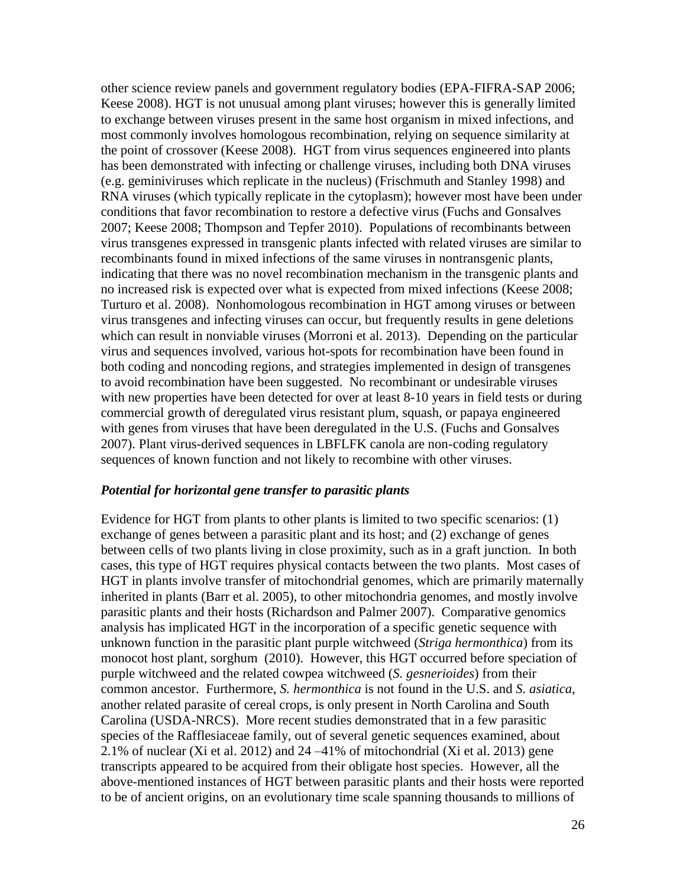other science review panels and government regulatory bodies [\(EPA-FIFRA-SAP 2006;](#page-31-11) [Keese 2008\)](#page-32-10). HGT is not unusual among plant viruses; however this is generally limited to exchange between viruses present in the same host organism in mixed infections, and most commonly involves homologous recombination, relying on sequence similarity at the point of crossover [\(Keese 2008\)](#page-32-10). HGT from virus sequences engineered into plants has been demonstrated with infecting or challenge viruses, including both DNA viruses (e.g. geminiviruses which replicate in the nucleus) [\(Frischmuth and Stanley 1998\)](#page-31-12) and RNA viruses (which typically replicate in the cytoplasm); however most have been under conditions that favor recombination to restore a defective virus [\(Fuchs and Gonsalves](#page-31-13)  [2007;](#page-31-13) [Keese 2008;](#page-32-10) [Thompson and Tepfer 2010\)](#page-35-12). Populations of recombinants between virus transgenes expressed in transgenic plants infected with related viruses are similar to recombinants found in mixed infections of the same viruses in nontransgenic plants, indicating that there was no novel recombination mechanism in the transgenic plants and no increased risk is expected over what is expected from mixed infections [\(Keese 2008;](#page-32-10) [Turturo et al. 2008\)](#page-35-13). Nonhomologous recombination in HGT among viruses or between virus transgenes and infecting viruses can occur, but frequently results in gene deletions which can result in nonviable viruses [\(Morroni et al. 2013\)](#page-33-12). Depending on the particular virus and sequences involved, various hot-spots for recombination have been found in both coding and noncoding regions, and strategies implemented in design of transgenes to avoid recombination have been suggested. No recombinant or undesirable viruses with new properties have been detected for over at least 8-10 years in field tests or during commercial growth of deregulated virus resistant plum, squash, or papaya engineered with genes from viruses that have been deregulated in the U.S. [\(Fuchs and Gonsalves](#page-31-13)  [2007\)](#page-31-13). Plant virus-derived sequences in LBFLFK canola are non-coding regulatory sequences of known function and not likely to recombine with other viruses.

#### *Potential for horizontal gene transfer to parasitic plants*

Evidence for HGT from plants to other plants is limited to two specific scenarios: (1) exchange of genes between a parasitic plant and its host; and (2) exchange of genes between cells of two plants living in close proximity, such as in a graft junction. In both cases, this type of HGT requires physical contacts between the two plants. Most cases of HGT in plants involve transfer of mitochondrial genomes, which are primarily maternally inherited in plants [\(Barr et al. 2005\)](#page-30-15), to other mitochondria genomes, and mostly involve parasitic plants and their hosts [\(Richardson and Palmer 2007\)](#page-34-11). Comparative genomics analysis has implicated HGT in the incorporation of a specific genetic sequence with unknown function in the parasitic plant purple witchweed (*Striga hermonthica*) from its monocot host plant, sorghum [\(2010\)](#page-37-2). However, this HGT occurred before speciation of purple witchweed and the related cowpea witchweed (*S. gesnerioides*) from their common ancestor. Furthermore, *S. hermonthica* is not found in the U.S. and *S. asiatica*, another related parasite of cereal crops, is only present in North Carolina and South Carolina [\(USDA-NRCS\)](#page-36-12). More recent studies demonstrated that in a few parasitic species of the Rafflesiaceae family, out of several genetic sequences examined, about 2.1% of nuclear [\(Xi et al. 2012\)](#page-37-3) and 24 –41% of mitochondrial [\(Xi et al. 2013\)](#page-37-4) gene transcripts appeared to be acquired from their obligate host species. However, all the above-mentioned instances of HGT between parasitic plants and their hosts were reported to be of ancient origins, on an evolutionary time scale spanning thousands to millions of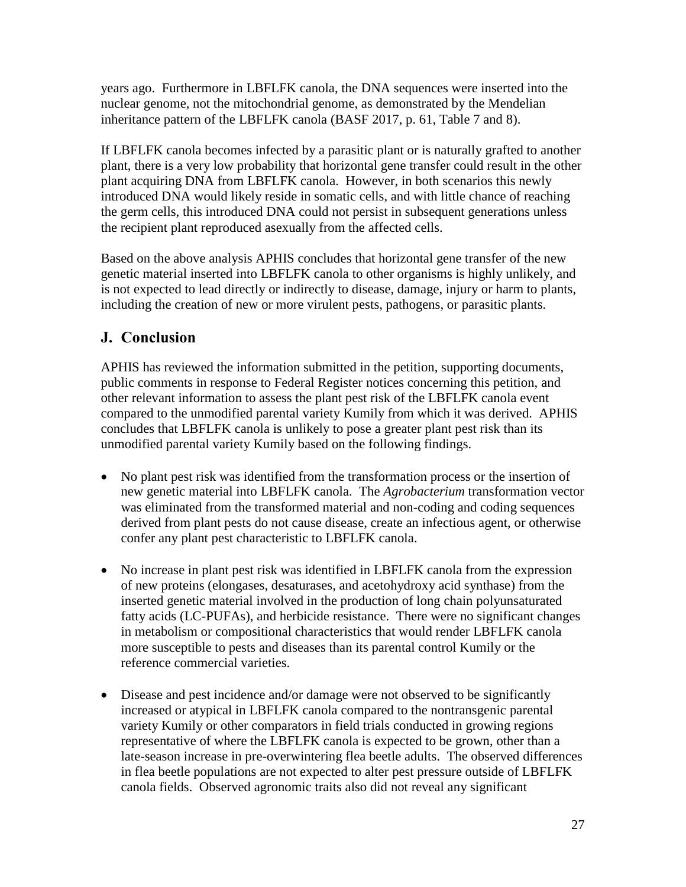years ago. Furthermore in LBFLFK canola, the DNA sequences were inserted into the nuclear genome, not the mitochondrial genome, as demonstrated by the Mendelian inheritance pattern of the LBFLFK canola [\(BASF 2017, p. 61, Table 7 and 8\)](#page-30-1).

If LBFLFK canola becomes infected by a parasitic plant or is naturally grafted to another plant, there is a very low probability that horizontal gene transfer could result in the other plant acquiring DNA from LBFLFK canola. However, in both scenarios this newly introduced DNA would likely reside in somatic cells, and with little chance of reaching the germ cells, this introduced DNA could not persist in subsequent generations unless the recipient plant reproduced asexually from the affected cells.

Based on the above analysis APHIS concludes that horizontal gene transfer of the new genetic material inserted into LBFLFK canola to other organisms is highly unlikely, and is not expected to lead directly or indirectly to disease, damage, injury or harm to plants, including the creation of new or more virulent pests, pathogens, or parasitic plants.

### <span id="page-28-0"></span>**J. Conclusion**

APHIS has reviewed the information submitted in the petition, supporting documents, public comments in response to Federal Register notices concerning this petition, and other relevant information to assess the plant pest risk of the LBFLFK canola event compared to the unmodified parental variety Kumily from which it was derived. APHIS concludes that LBFLFK canola is unlikely to pose a greater plant pest risk than its unmodified parental variety Kumily based on the following findings.

- No plant pest risk was identified from the transformation process or the insertion of new genetic material into LBFLFK canola. The *Agrobacterium* transformation vector was eliminated from the transformed material and non-coding and coding sequences derived from plant pests do not cause disease, create an infectious agent, or otherwise confer any plant pest characteristic to LBFLFK canola.
- No increase in plant pest risk was identified in LBFLFK canola from the expression of new proteins (elongases, desaturases, and acetohydroxy acid synthase) from the inserted genetic material involved in the production of long chain polyunsaturated fatty acids (LC-PUFAs), and herbicide resistance. There were no significant changes in metabolism or compositional characteristics that would render LBFLFK canola more susceptible to pests and diseases than its parental control Kumily or the reference commercial varieties.
- Disease and pest incidence and/or damage were not observed to be significantly increased or atypical in LBFLFK canola compared to the nontransgenic parental variety Kumily or other comparators in field trials conducted in growing regions representative of where the LBFLFK canola is expected to be grown, other than a late-season increase in pre-overwintering flea beetle adults. The observed differences in flea beetle populations are not expected to alter pest pressure outside of LBFLFK canola fields. Observed agronomic traits also did not reveal any significant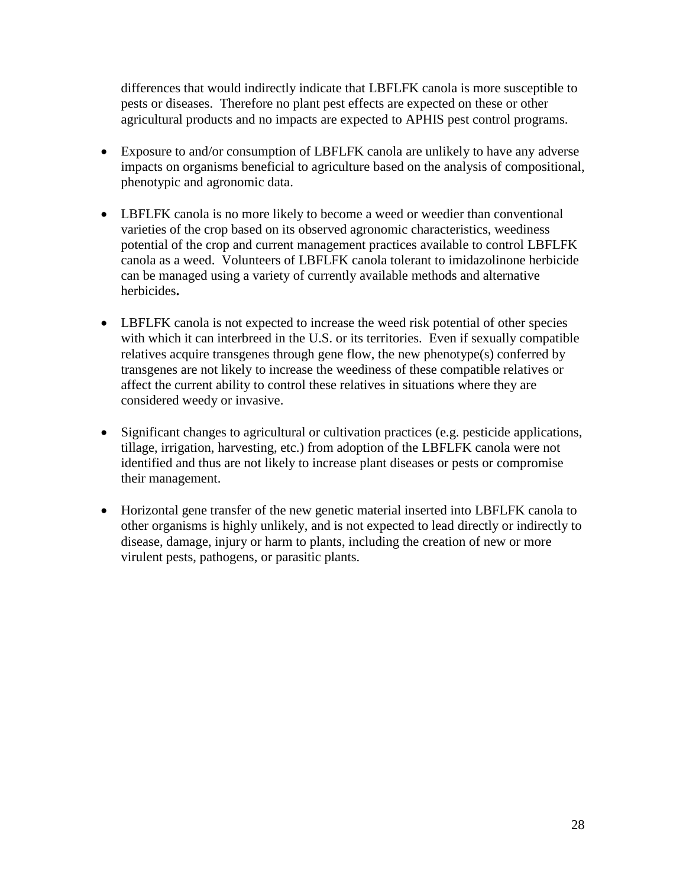differences that would indirectly indicate that LBFLFK canola is more susceptible to pests or diseases. Therefore no plant pest effects are expected on these or other agricultural products and no impacts are expected to APHIS pest control programs.

- Exposure to and/or consumption of LBFLFK canola are unlikely to have any adverse impacts on organisms beneficial to agriculture based on the analysis of compositional, phenotypic and agronomic data.
- LBFLFK canola is no more likely to become a weed or weedier than conventional varieties of the crop based on its observed agronomic characteristics, weediness potential of the crop and current management practices available to control LBFLFK canola as a weed. Volunteers of LBFLFK canola tolerant to imidazolinone herbicide can be managed using a variety of currently available methods and alternative herbicides**.**
- LBFLFK canola is not expected to increase the weed risk potential of other species with which it can interbreed in the U.S. or its territories. Even if sexually compatible relatives acquire transgenes through gene flow, the new phenotype(s) conferred by transgenes are not likely to increase the weediness of these compatible relatives or affect the current ability to control these relatives in situations where they are considered weedy or invasive.
- Significant changes to agricultural or cultivation practices (e.g. pesticide applications, tillage, irrigation, harvesting, etc.) from adoption of the LBFLFK canola were not identified and thus are not likely to increase plant diseases or pests or compromise their management.
- Horizontal gene transfer of the new genetic material inserted into LBFLFK canola to other organisms is highly unlikely, and is not expected to lead directly or indirectly to disease, damage, injury or harm to plants, including the creation of new or more virulent pests, pathogens, or parasitic plants.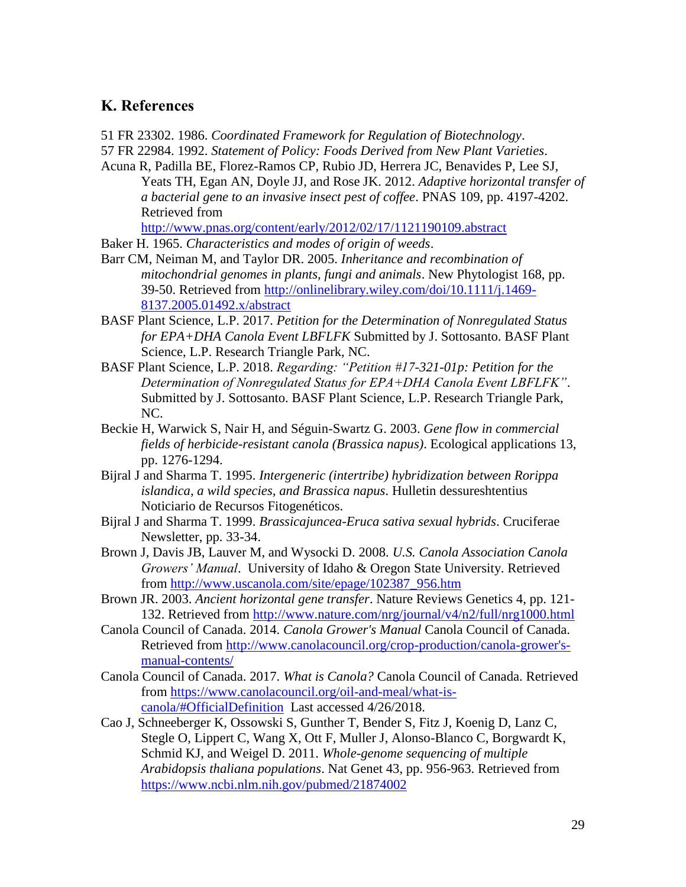#### <span id="page-30-0"></span>**K. References**

<span id="page-30-2"></span>51 FR 23302. 1986. *Coordinated Framework for Regulation of Biotechnology*.

- <span id="page-30-3"></span>57 FR 22984. 1992. *Statement of Policy: Foods Derived from New Plant Varieties*.
- <span id="page-30-13"></span>Acuna R, Padilla BE, Florez-Ramos CP, Rubio JD, Herrera JC, Benavides P, Lee SJ, Yeats TH, Egan AN, Doyle JJ, and Rose JK. 2012. *Adaptive horizontal transfer of a bacterial gene to an invasive insect pest of coffee*. PNAS 109, pp. 4197-4202. Retrieved from

<http://www.pnas.org/content/early/2012/02/17/1121190109.abstract>

- <span id="page-30-9"></span>Baker H. 1965. *Characteristics and modes of origin of weeds*.
- <span id="page-30-15"></span>Barr CM, Neiman M, and Taylor DR. 2005. *Inheritance and recombination of mitochondrial genomes in plants, fungi and animals*. New Phytologist 168, pp. 39-50. Retrieved from [http://onlinelibrary.wiley.com/doi/10.1111/j.1469-](http://onlinelibrary.wiley.com/doi/10.1111/j.1469-8137.2005.01492.x/abstract) [8137.2005.01492.x/abstract](http://onlinelibrary.wiley.com/doi/10.1111/j.1469-8137.2005.01492.x/abstract)
- <span id="page-30-1"></span>BASF Plant Science, L.P. 2017. *Petition for the Determination of Nonregulated Status for EPA+DHA Canola Event LBFLFK* Submitted by J. Sottosanto. BASF Plant Science, L.P. Research Triangle Park, NC.
- <span id="page-30-8"></span>BASF Plant Science, L.P. 2018. *Regarding: "Petition #17-321-01p: Petition for the Determination of Nonregulated Status for EPA+DHA Canola Event LBFLFK"*. Submitted by J. Sottosanto. BASF Plant Science, L.P. Research Triangle Park, NC.
- <span id="page-30-10"></span>Beckie H, Warwick S, Nair H, and Séguin-Swartz G. 2003. *Gene flow in commercial fields of herbicide-resistant canola (Brassica napus)*. Ecological applications 13, pp. 1276-1294.
- <span id="page-30-12"></span>Bijral J and Sharma T. 1995. *Intergeneric (intertribe) hybridization between Rorippa islandica, a wild species, and Brassica napus*. Hulletin dessureshtentius Noticiario de Recursos Fitogenéticos.
- <span id="page-30-11"></span>Bijral J and Sharma T. 1999. *Brassicajuncea-Eruca sativa sexual hybrids*. Cruciferae Newsletter, pp. 33-34.
- <span id="page-30-5"></span>Brown J, Davis JB, Lauver M, and Wysocki D. 2008. *U.S. Canola Association Canola Growers' Manual*. University of Idaho & Oregon State University. Retrieved from [http://www.uscanola.com/site/epage/102387\\_956.htm](http://www.uscanola.com/site/epage/102387_956.htm)
- <span id="page-30-14"></span>Brown JR. 2003. *Ancient horizontal gene transfer*. Nature Reviews Genetics 4, pp. 121- 132. Retrieved from<http://www.nature.com/nrg/journal/v4/n2/full/nrg1000.html>
- <span id="page-30-7"></span>Canola Council of Canada. 2014. *Canola Grower's Manual* Canola Council of Canada. Retrieved from [http://www.canolacouncil.org/crop-production/canola-grower's](http://www.canolacouncil.org/crop-production/canola-grower)[manual-contents/](http://www.canolacouncil.org/crop-production/canola-grower)
- <span id="page-30-4"></span>Canola Council of Canada. 2017. *What is Canola?* Canola Council of Canada. Retrieved from [https://www.canolacouncil.org/oil-and-meal/what-is](https://www.canolacouncil.org/oil-and-meal/what-is-canola/#OfficialDefinition)[canola/#OfficialDefinition](https://www.canolacouncil.org/oil-and-meal/what-is-canola/#OfficialDefinition) Last accessed 4/26/2018.
- <span id="page-30-6"></span>Cao J, Schneeberger K, Ossowski S, Gunther T, Bender S, Fitz J, Koenig D, Lanz C, Stegle O, Lippert C, Wang X, Ott F, Muller J, Alonso-Blanco C, Borgwardt K, Schmid KJ, and Weigel D. 2011. *Whole-genome sequencing of multiple Arabidopsis thaliana populations*. Nat Genet 43, pp. 956-963. Retrieved from <https://www.ncbi.nlm.nih.gov/pubmed/21874002>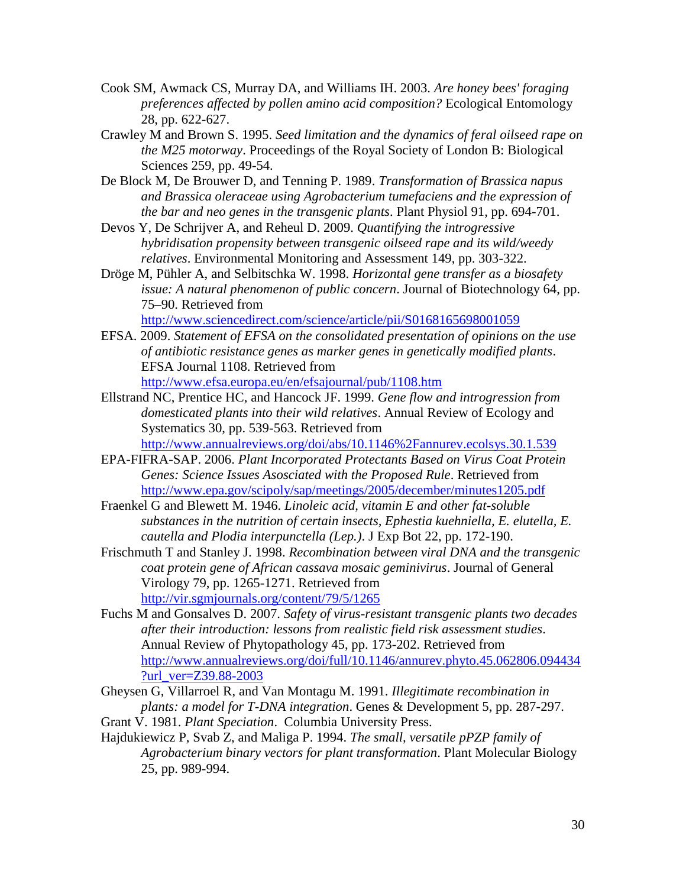- <span id="page-31-3"></span>Cook SM, Awmack CS, Murray DA, and Williams IH. 2003. *Are honey bees' foraging preferences affected by pollen amino acid composition?* Ecological Entomology 28, pp. 622-627.
- <span id="page-31-4"></span>Crawley M and Brown S. 1995. *Seed limitation and the dynamics of feral oilseed rape on the M25 motorway*. Proceedings of the Royal Society of London B: Biological Sciences 259, pp. 49-54.
- <span id="page-31-0"></span>De Block M, De Brouwer D, and Tenning P. 1989. *Transformation of Brassica napus and Brassica oleraceae using Agrobacterium tumefaciens and the expression of the bar and neo genes in the transgenic plants*. Plant Physiol 91, pp. 694-701.
- <span id="page-31-7"></span>Devos Y, De Schrijver A, and Reheul D. 2009. *Quantifying the introgressive hybridisation propensity between transgenic oilseed rape and its wild/weedy relatives*. Environmental Monitoring and Assessment 149, pp. 303-322.
- <span id="page-31-8"></span>Dröge M, Pühler A, and Selbitschka W. 1998. *Horizontal gene transfer as a biosafety issue: A natural phenomenon of public concern*. Journal of Biotechnology 64, pp. 75–90. Retrieved from
	- <http://www.sciencedirect.com/science/article/pii/S0168165698001059>
- <span id="page-31-9"></span>EFSA. 2009. *Statement of EFSA on the consolidated presentation of opinions on the use of antibiotic resistance genes as marker genes in genetically modified plants*. EFSA Journal 1108. Retrieved from <http://www.efsa.europa.eu/en/efsajournal/pub/1108.htm>
- <span id="page-31-6"></span>Ellstrand NC, Prentice HC, and Hancock JF. 1999. *Gene flow and introgression from domesticated plants into their wild relatives*. Annual Review of Ecology and Systematics 30, pp. 539-563. Retrieved from

<http://www.annualreviews.org/doi/abs/10.1146%2Fannurev.ecolsys.30.1.539>

- <span id="page-31-11"></span>EPA-FIFRA-SAP. 2006. *Plant Incorporated Protectants Based on Virus Coat Protein Genes: Science Issues Asosciated with the Proposed Rule*. Retrieved from <http://www.epa.gov/scipoly/sap/meetings/2005/december/minutes1205.pdf>
- <span id="page-31-2"></span>Fraenkel G and Blewett M. 1946. *Linoleic acid, vitamin E and other fat-soluble substances in the nutrition of certain insects, Ephestia kuehniella, E. elutella, E. cautella and Plodia interpunctella (Lep.)*. J Exp Bot 22, pp. 172-190.
- <span id="page-31-12"></span>Frischmuth T and Stanley J. 1998. *Recombination between viral DNA and the transgenic coat protein gene of African cassava mosaic geminivirus*. Journal of General Virology 79, pp. 1265-1271. Retrieved from <http://vir.sgmjournals.org/content/79/5/1265>
- <span id="page-31-13"></span>Fuchs M and Gonsalves D. 2007. *Safety of virus-resistant transgenic plants two decades after their introduction: lessons from realistic field risk assessment studies*. Annual Review of Phytopathology 45, pp. 173-202. Retrieved from [http://www.annualreviews.org/doi/full/10.1146/annurev.phyto.45.062806.094434](http://www.annualreviews.org/doi/full/10.1146/annurev.phyto.45.062806.094434?url_ver=Z39.88-2003) [?url\\_ver=Z39.88-2003](http://www.annualreviews.org/doi/full/10.1146/annurev.phyto.45.062806.094434?url_ver=Z39.88-2003)
- <span id="page-31-1"></span>Gheysen G, Villarroel R, and Van Montagu M. 1991. *Illegitimate recombination in plants: a model for T-DNA integration*. Genes & Development 5, pp. 287-297.
- <span id="page-31-5"></span>Grant V. 1981. *Plant Speciation*. Columbia University Press.
- <span id="page-31-10"></span>Hajdukiewicz P, Svab Z, and Maliga P. 1994. *The small, versatile pPZP family of Agrobacterium binary vectors for plant transformation*. Plant Molecular Biology 25, pp. 989-994.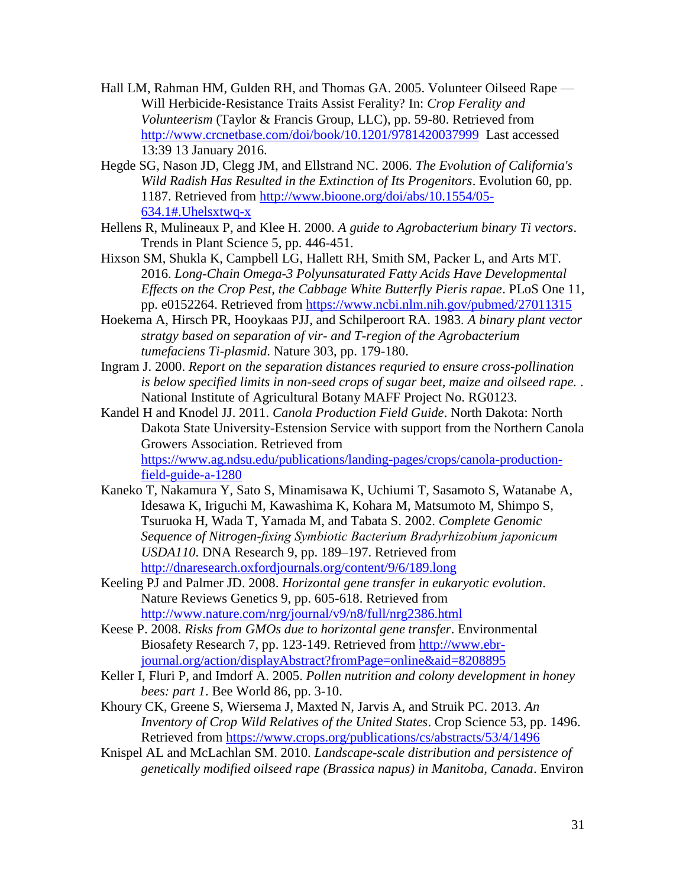- <span id="page-32-3"></span>Hall LM, Rahman HM, Gulden RH, and Thomas GA. 2005. Volunteer Oilseed Rape — Will Herbicide-Resistance Traits Assist Ferality? In: *Crop Ferality and Volunteerism* (Taylor & Francis Group, LLC), pp. 59-80. Retrieved from <http://www.crcnetbase.com/doi/book/10.1201/9781420037999>Last accessed 13:39 13 January 2016.
- <span id="page-32-7"></span>Hegde SG, Nason JD, Clegg JM, and Ellstrand NC. 2006. *The Evolution of California's Wild Radish Has Resulted in the Extinction of Its Progenitors*. Evolution 60, pp. 1187. Retrieved from [http://www.bioone.org/doi/abs/10.1554/05-](http://www.bioone.org/doi/abs/10.1554/05-634.1#.Uhelsxtwq-x) [634.1#.Uhelsxtwq-x](http://www.bioone.org/doi/abs/10.1554/05-634.1#.Uhelsxtwq-x)
- <span id="page-32-1"></span>Hellens R, Mulineaux P, and Klee H. 2000. *A guide to Agrobacterium binary Ti vectors*. Trends in Plant Science 5, pp. 446-451.
- <span id="page-32-4"></span>Hixson SM, Shukla K, Campbell LG, Hallett RH, Smith SM, Packer L, and Arts MT. 2016. *Long-Chain Omega-3 Polyunsaturated Fatty Acids Have Developmental Effects on the Crop Pest, the Cabbage White Butterfly Pieris rapae*. PLoS One 11, pp. e0152264. Retrieved from<https://www.ncbi.nlm.nih.gov/pubmed/27011315>
- <span id="page-32-0"></span>Hoekema A, Hirsch PR, Hooykaas PJJ, and Schilperoort RA. 1983. *A binary plant vector stratgy based on separation of vir- and T-region of the Agrobacterium tumefaciens Ti-plasmid*. Nature 303, pp. 179-180.
- <span id="page-32-9"></span>Ingram J. 2000. *Report on the separation distances requried to ensure cross-pollination is below specified limits in non-seed crops of sugar beet, maize and oilseed rape.* . National Institute of Agricultural Botany MAFF Project No. RG0123.

<span id="page-32-2"></span>Kandel H and Knodel JJ. 2011. *Canola Production Field Guide*. North Dakota: North Dakota State University-Estension Service with support from the Northern Canola Growers Association. Retrieved from [https://www.ag.ndsu.edu/publications/landing-pages/crops/canola-production](https://www.ag.ndsu.edu/publications/landing-pages/crops/canola-production-field-guide-a-1280)[field-guide-a-1280](https://www.ag.ndsu.edu/publications/landing-pages/crops/canola-production-field-guide-a-1280) 

- <span id="page-32-12"></span>Kaneko T, Nakamura Y, Sato S, Minamisawa K, Uchiumi T, Sasamoto S, Watanabe A, Idesawa K, Iriguchi M, Kawashima K, Kohara M, Matsumoto M, Shimpo S, Tsuruoka H, Wada T, Yamada M, and Tabata S. 2002. *Complete Genomic Sequence of Nitrogen-fixing Symbiotic Bacterium Bradyrhizobium japonicum USDA110*. DNA Research 9, pp. 189–197. Retrieved from <http://dnaresearch.oxfordjournals.org/content/9/6/189.long>
- <span id="page-32-11"></span>Keeling PJ and Palmer JD. 2008. *Horizontal gene transfer in eukaryotic evolution*. Nature Reviews Genetics 9, pp. 605-618. Retrieved from <http://www.nature.com/nrg/journal/v9/n8/full/nrg2386.html>
- <span id="page-32-10"></span>Keese P. 2008. *Risks from GMOs due to horizontal gene transfer*. Environmental Biosafety Research 7, pp. 123-149. Retrieved from [http://www.ebr](http://www.ebr-journal.org/action/displayAbstract?fromPage=online&aid=8208895)[journal.org/action/displayAbstract?fromPage=online&aid=8208895](http://www.ebr-journal.org/action/displayAbstract?fromPage=online&aid=8208895)
- <span id="page-32-5"></span>Keller I, Fluri P, and Imdorf A. 2005. *Pollen nutrition and colony development in honey bees: part 1*. Bee World 86, pp. 3-10.
- <span id="page-32-8"></span>Khoury CK, Greene S, Wiersema J, Maxted N, Jarvis A, and Struik PC. 2013. *An Inventory of Crop Wild Relatives of the United States*. Crop Science 53, pp. 1496. Retrieved from<https://www.crops.org/publications/cs/abstracts/53/4/1496>
- <span id="page-32-6"></span>Knispel AL and McLachlan SM. 2010. *Landscape-scale distribution and persistence of genetically modified oilseed rape (Brassica napus) in Manitoba, Canada*. Environ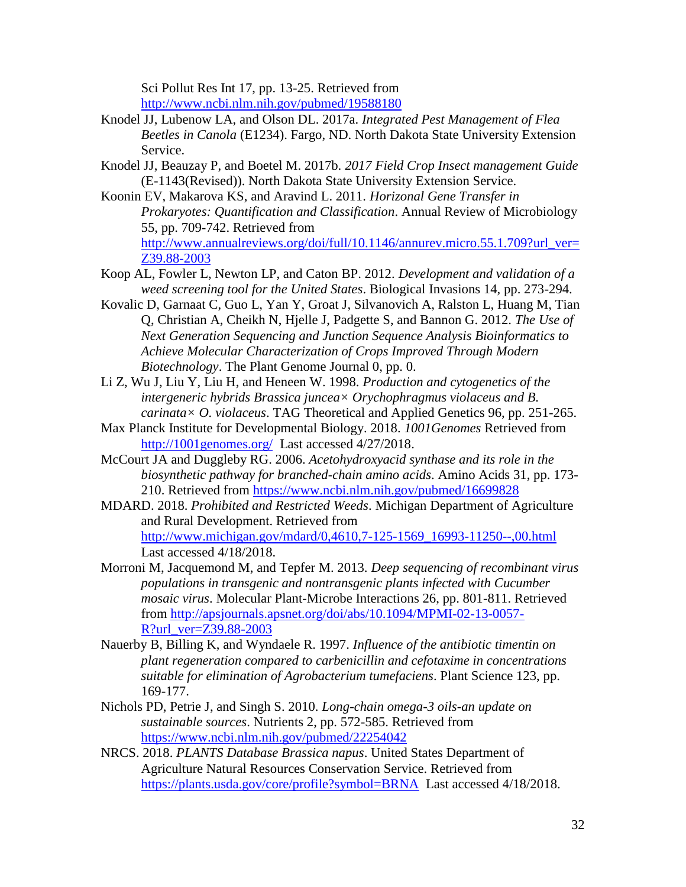Sci Pollut Res Int 17, pp. 13-25. Retrieved from <http://www.ncbi.nlm.nih.gov/pubmed/19588180>

- <span id="page-33-6"></span>Knodel JJ, Lubenow LA, and Olson DL. 2017a. *Integrated Pest Management of Flea Beetles in Canola* (E1234). Fargo, ND. North Dakota State University Extension Service.
- <span id="page-33-5"></span>Knodel JJ, Beauzay P, and Boetel M. 2017b. *2017 Field Crop Insect management Guide* (E-1143(Revised)). North Dakota State University Extension Service.
- <span id="page-33-11"></span>Koonin EV, Makarova KS, and Aravind L. 2011. *Horizonal Gene Transfer in Prokaryotes: Quantification and Classification*. Annual Review of Microbiology 55, pp. 709-742. Retrieved from [http://www.annualreviews.org/doi/full/10.1146/annurev.micro.55.1.709?url\\_ver=](http://www.annualreviews.org/doi/full/10.1146/annurev.micro.55.1.709?url_ver=Z39.88-2003) [Z39.88-2003](http://www.annualreviews.org/doi/full/10.1146/annurev.micro.55.1.709?url_ver=Z39.88-2003)
- <span id="page-33-9"></span>Koop AL, Fowler L, Newton LP, and Caton BP. 2012. *Development and validation of a weed screening tool for the United States*. Biological Invasions 14, pp. 273-294.
- <span id="page-33-2"></span>Kovalic D, Garnaat C, Guo L, Yan Y, Groat J, Silvanovich A, Ralston L, Huang M, Tian Q, Christian A, Cheikh N, Hjelle J, Padgette S, and Bannon G. 2012. *The Use of Next Generation Sequencing and Junction Sequence Analysis Bioinformatics to Achieve Molecular Characterization of Crops Improved Through Modern Biotechnology*. The Plant Genome Journal 0, pp. 0.
- <span id="page-33-10"></span>Li Z, Wu J, Liu Y, Liu H, and Heneen W. 1998. *Production and cytogenetics of the intergeneric hybrids Brassica juncea× Orychophragmus violaceus and B. carinata× O. violaceus*. TAG Theoretical and Applied Genetics 96, pp. 251-265.
- <span id="page-33-3"></span>Max Planck Institute for Developmental Biology. 2018. *1001Genomes* Retrieved from <http://1001genomes.org/>Last accessed 4/27/2018.
- <span id="page-33-0"></span>McCourt JA and Duggleby RG. 2006. *Acetohydroxyacid synthase and its role in the biosynthetic pathway for branched-chain amino acids*. Amino Acids 31, pp. 173- 210. Retrieved from<https://www.ncbi.nlm.nih.gov/pubmed/16699828>
- <span id="page-33-8"></span>MDARD. 2018. *Prohibited and Restricted Weeds*. Michigan Department of Agriculture and Rural Development. Retrieved from [http://www.michigan.gov/mdard/0,4610,7-125-1569\\_16993-11250--,00.html](http://www.michigan.gov/mdard/0,4610,7-125-1569_16993-11250--,00.html)  Last accessed 4/18/2018.
- <span id="page-33-12"></span>Morroni M, Jacquemond M, and Tepfer M. 2013. *Deep sequencing of recombinant virus populations in transgenic and nontransgenic plants infected with Cucumber mosaic virus*. Molecular Plant-Microbe Interactions 26, pp. 801-811. Retrieved from [http://apsjournals.apsnet.org/doi/abs/10.1094/MPMI-02-13-0057-](http://apsjournals.apsnet.org/doi/abs/10.1094/MPMI-02-13-0057-R?url_ver=Z39.88-2003) [R?url\\_ver=Z39.88-2003](http://apsjournals.apsnet.org/doi/abs/10.1094/MPMI-02-13-0057-R?url_ver=Z39.88-2003)
- <span id="page-33-4"></span>Nauerby B, Billing K, and Wyndaele R. 1997. *Influence of the antibiotic timentin on plant regeneration compared to carbenicillin and cefotaxime in concentrations suitable for elimination of Agrobacterium tumefaciens*. Plant Science 123, pp. 169-177.
- <span id="page-33-1"></span>Nichols PD, Petrie J, and Singh S. 2010. *Long-chain omega-3 oils-an update on sustainable sources*. Nutrients 2, pp. 572-585. Retrieved from <https://www.ncbi.nlm.nih.gov/pubmed/22254042>
- <span id="page-33-7"></span>NRCS. 2018. *PLANTS Database Brassica napus*. United States Department of Agriculture Natural Resources Conservation Service. Retrieved from <https://plants.usda.gov/core/profile?symbol=BRNA>Last accessed 4/18/2018.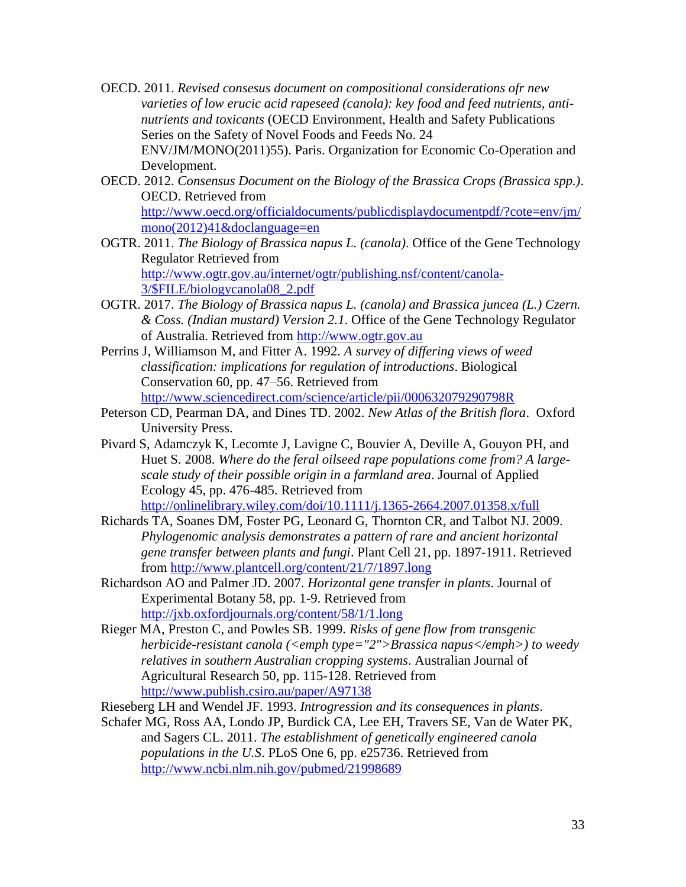- <span id="page-34-0"></span>OECD. 2011. *Revised consesus document on compositional considerations ofr new varieties of low erucic acid rapeseed (canola): key food and feed nutrients, antinutrients and toxicants* (OECD Environment, Health and Safety Publications Series on the Safety of Novel Foods and Feeds No. 24 ENV/JM/MONO(2011)55). Paris. Organization for Economic Co-Operation and Development.
- <span id="page-34-2"></span>OECD. 2012. *Consensus Document on the Biology of the Brassica Crops (Brassica spp.)*. OECD. Retrieved from [http://www.oecd.org/officialdocuments/publicdisplaydocumentpdf/?cote=env/jm/](http://www.oecd.org/officialdocuments/publicdisplaydocumentpdf/?cote=env/jm/mono(2012)41&doclanguage=en) [mono\(2012\)41&doclanguage=en](http://www.oecd.org/officialdocuments/publicdisplaydocumentpdf/?cote=env/jm/mono(2012)41&doclanguage=en)
- <span id="page-34-4"></span>OGTR. 2011. *The Biology of Brassica napus L. (canola)*. Office of the Gene Technology Regulator Retrieved from [http://www.ogtr.gov.au/internet/ogtr/publishing.nsf/content/canola-](http://www.ogtr.gov.au/internet/ogtr/publishing.nsf/content/canola-3/$FILE/biologycanola08_2.pdf)[3/\\$FILE/biologycanola08\\_2.pdf](http://www.ogtr.gov.au/internet/ogtr/publishing.nsf/content/canola-3/$FILE/biologycanola08_2.pdf)
- <span id="page-34-1"></span>OGTR. 2017. *The Biology of Brassica napus L. (canola) and Brassica juncea (L.) Czern. & Coss. (Indian mustard) Version 2.1*. Office of the Gene Technology Regulator of Australia. Retrieved from [http://www.ogtr.gov.au](http://www.ogtr.gov.au/)
- <span id="page-34-3"></span>Perrins J, Williamson M, and Fitter A. 1992. *A survey of differing views of weed classification: implications for regulation of introductions*. Biological Conservation 60, pp. 47–56. Retrieved from <http://www.sciencedirect.com/science/article/pii/000632079290798R>
- <span id="page-34-8"></span>Peterson CD, Pearman DA, and Dines TD. 2002. *New Atlas of the British flora*. Oxford University Press.
- <span id="page-34-6"></span>Pivard S, Adamczyk K, Lecomte J, Lavigne C, Bouvier A, Deville A, Gouyon PH, and Huet S. 2008. *Where do the feral oilseed rape populations come from? A largescale study of their possible origin in a farmland area*. Journal of Applied Ecology 45, pp. 476-485. Retrieved from <http://onlinelibrary.wiley.com/doi/10.1111/j.1365-2664.2007.01358.x/full>
- <span id="page-34-10"></span>Richards TA, Soanes DM, Foster PG, Leonard G, Thornton CR, and Talbot NJ. 2009. *Phylogenomic analysis demonstrates a pattern of rare and ancient horizontal gene transfer between plants and fungi*. Plant Cell 21, pp. 1897-1911. Retrieved from<http://www.plantcell.org/content/21/7/1897.long>
- <span id="page-34-11"></span>Richardson AO and Palmer JD. 2007. *Horizontal gene transfer in plants*. Journal of Experimental Botany 58, pp. 1-9. Retrieved from <http://jxb.oxfordjournals.org/content/58/1/1.long>
- <span id="page-34-9"></span>Rieger MA, Preston C, and Powles SB. 1999. *Risks of gene flow from transgenic herbicide-resistant canola (<emph type="2">Brassica napus</emph>) to weedy relatives in southern Australian cropping systems*. Australian Journal of Agricultural Research 50, pp. 115-128. Retrieved from <http://www.publish.csiro.au/paper/A97138>
- <span id="page-34-7"></span>Rieseberg LH and Wendel JF. 1993. *Introgression and its consequences in plants*.
- <span id="page-34-5"></span>Schafer MG, Ross AA, Londo JP, Burdick CA, Lee EH, Travers SE, Van de Water PK, and Sagers CL. 2011. *The establishment of genetically engineered canola populations in the U.S*. PLoS One 6, pp. e25736. Retrieved from <http://www.ncbi.nlm.nih.gov/pubmed/21998689>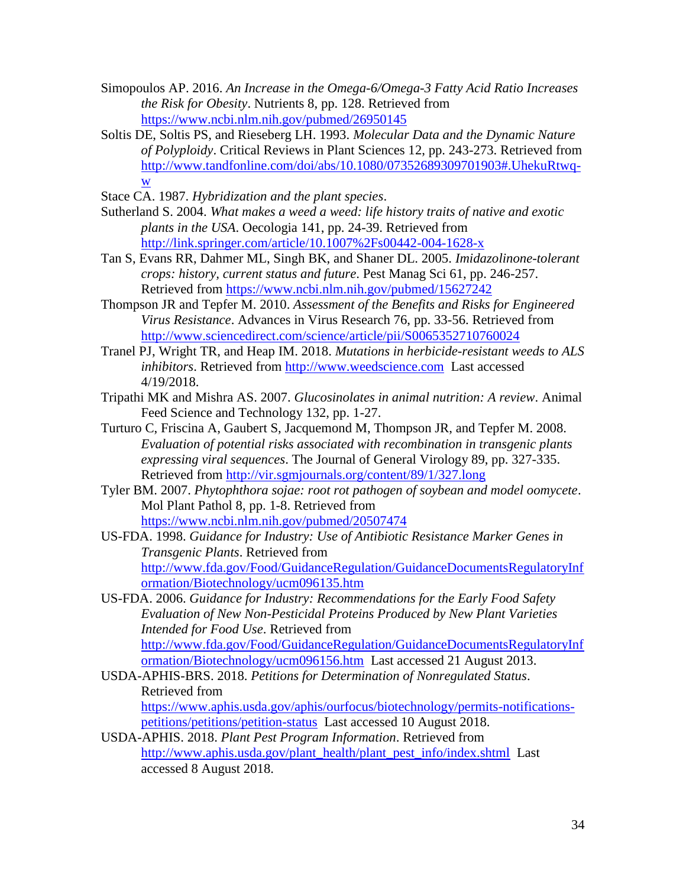- <span id="page-35-5"></span>Simopoulos AP. 2016. *An Increase in the Omega-6/Omega-3 Fatty Acid Ratio Increases the Risk for Obesity*. Nutrients 8, pp. 128. Retrieved from <https://www.ncbi.nlm.nih.gov/pubmed/26950145>
- <span id="page-35-8"></span>Soltis DE, Soltis PS, and Rieseberg LH. 1993. *Molecular Data and the Dynamic Nature of Polyploidy*. Critical Reviews in Plant Sciences 12, pp. 243-273. Retrieved from [http://www.tandfonline.com/doi/abs/10.1080/07352689309701903#.UhekuRtwq](http://www.tandfonline.com/doi/abs/10.1080/07352689309701903#.UhekuRtwq-w)[w](http://www.tandfonline.com/doi/abs/10.1080/07352689309701903#.UhekuRtwq-w)
- <span id="page-35-9"></span>Stace CA. 1987. *Hybridization and the plant species*.
- <span id="page-35-7"></span>Sutherland S. 2004. *What makes a weed a weed: life history traits of native and exotic plants in the USA*. Oecologia 141, pp. 24-39. Retrieved from <http://link.springer.com/article/10.1007%2Fs00442-004-1628-x>
- <span id="page-35-2"></span>Tan S, Evans RR, Dahmer ML, Singh BK, and Shaner DL. 2005. *Imidazolinone-tolerant crops: history, current status and future*. Pest Manag Sci 61, pp. 246-257. Retrieved from<https://www.ncbi.nlm.nih.gov/pubmed/15627242>
- <span id="page-35-12"></span>Thompson JR and Tepfer M. 2010. *Assessment of the Benefits and Risks for Engineered Virus Resistance*. Advances in Virus Research 76, pp. 33-56. Retrieved from <http://www.sciencedirect.com/science/article/pii/S0065352710760024>
- <span id="page-35-10"></span>Tranel PJ, Wright TR, and Heap IM. 2018. *Mutations in herbicide-resistant weeds to ALS inhibitors*. Retrieved from [http://www.weedscience.com](http://www.weedscience.com/) Last accessed 4/19/2018.
- <span id="page-35-6"></span>Tripathi MK and Mishra AS. 2007. *Glucosinolates in animal nutrition: A review*. Animal Feed Science and Technology 132, pp. 1-27.
- <span id="page-35-13"></span>Turturo C, Friscina A, Gaubert S, Jacquemond M, Thompson JR, and Tepfer M. 2008. *Evaluation of potential risks associated with recombination in transgenic plants expressing viral sequences*. The Journal of General Virology 89, pp. 327-335. Retrieved from<http://vir.sgmjournals.org/content/89/1/327.long>
- <span id="page-35-4"></span>Tyler BM. 2007. *Phytophthora sojae: root rot pathogen of soybean and model oomycete*. Mol Plant Pathol 8, pp. 1-8. Retrieved from <https://www.ncbi.nlm.nih.gov/pubmed/20507474>
- <span id="page-35-11"></span>US-FDA. 1998. *Guidance for Industry: Use of Antibiotic Resistance Marker Genes in Transgenic Plants*. Retrieved from [http://www.fda.gov/Food/GuidanceRegulation/GuidanceDocumentsRegulatoryInf](http://www.fda.gov/Food/GuidanceRegulation/GuidanceDocumentsRegulatoryInformation/Biotechnology/ucm096135.htm) [ormation/Biotechnology/ucm096135.htm](http://www.fda.gov/Food/GuidanceRegulation/GuidanceDocumentsRegulatoryInformation/Biotechnology/ucm096135.htm)

<span id="page-35-0"></span>US-FDA. 2006. *Guidance for Industry: Recommendations for the Early Food Safety Evaluation of New Non-Pesticidal Proteins Produced by New Plant Varieties Intended for Food Use*. Retrieved from [http://www.fda.gov/Food/GuidanceRegulation/GuidanceDocumentsRegulatoryInf](http://www.fda.gov/Food/GuidanceRegulation/GuidanceDocumentsRegulatoryInformation/Biotechnology/ucm096156.htm) [ormation/Biotechnology/ucm096156.htm](http://www.fda.gov/Food/GuidanceRegulation/GuidanceDocumentsRegulatoryInformation/Biotechnology/ucm096156.htm) Last accessed 21 August 2013.

- <span id="page-35-1"></span>USDA-APHIS-BRS. 2018. *Petitions for Determination of Nonregulated Status*. Retrieved from [https://www.aphis.usda.gov/aphis/ourfocus/biotechnology/permits-notifications-](https://www.aphis.usda.gov/aphis/ourfocus/biotechnology/permits-notifications-petitions/petitions/petition-status)
- <span id="page-35-3"></span>[petitions/petitions/petition-status](https://www.aphis.usda.gov/aphis/ourfocus/biotechnology/permits-notifications-petitions/petitions/petition-status) Last accessed 10 August 2018. USDA-APHIS. 2018. *Plant Pest Program Information*. Retrieved from

[http://www.aphis.usda.gov/plant\\_health/plant\\_pest\\_info/index.shtml](http://www.aphis.usda.gov/plant_health/plant_pest_info/index.shtml) Last accessed 8 August 2018.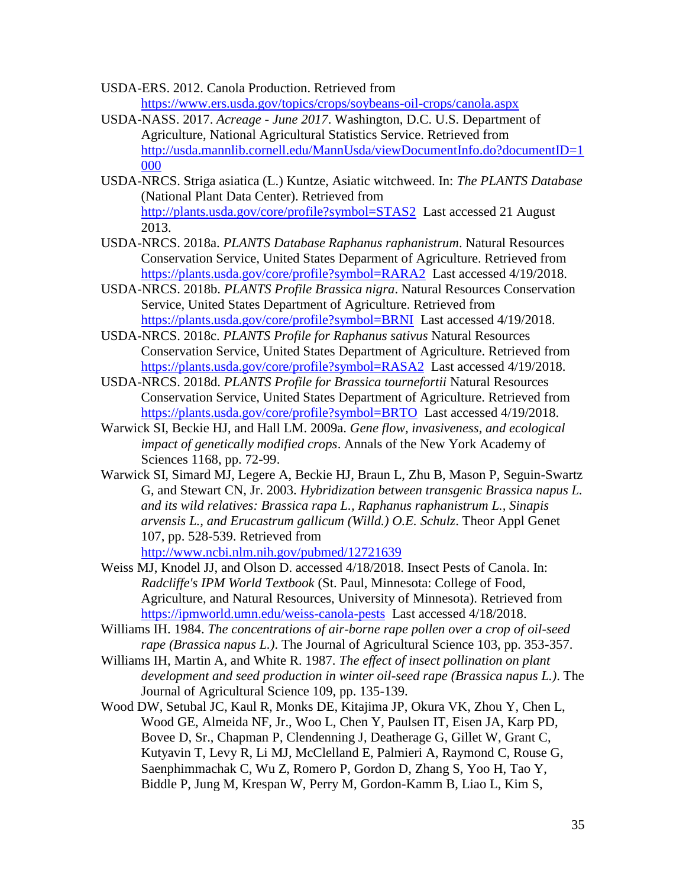<span id="page-36-0"></span>USDA-ERS. 2012. Canola Production. Retrieved from <https://www.ers.usda.gov/topics/crops/soybeans-oil-crops/canola.aspx>

- <span id="page-36-1"></span>USDA-NASS. 2017. *Acreage - June 2017*. Washington, D.C. U.S. Department of Agriculture, National Agricultural Statistics Service. Retrieved from [http://usda.mannlib.cornell.edu/MannUsda/viewDocumentInfo.do?documentID=1](http://usda.mannlib.cornell.edu/MannUsda/viewDocumentInfo.do?documentID=1000) [000](http://usda.mannlib.cornell.edu/MannUsda/viewDocumentInfo.do?documentID=1000)
- <span id="page-36-12"></span>USDA-NRCS. Striga asiatica (L.) Kuntze, Asiatic witchweed. In: *The PLANTS Database* (National Plant Data Center). Retrieved from <http://plants.usda.gov/core/profile?symbol=STAS2>Last accessed 21 August 2013.
- <span id="page-36-7"></span>USDA-NRCS. 2018a. *PLANTS Database Raphanus raphanistrum*. Natural Resources Conservation Service, United States Deparment of Agriculture. Retrieved from <https://plants.usda.gov/core/profile?symbol=RARA2>Last accessed 4/19/2018.
- <span id="page-36-8"></span>USDA-NRCS. 2018b. *PLANTS Profile Brassica nigra*. Natural Resources Conservation Service, United States Department of Agriculture. Retrieved from <https://plants.usda.gov/core/profile?symbol=BRNI>Last accessed 4/19/2018.
- <span id="page-36-10"></span>USDA-NRCS. 2018c. *PLANTS Profile for Raphanus sativus* Natural Resources Conservation Service, United States Department of Agriculture. Retrieved from <https://plants.usda.gov/core/profile?symbol=RASA2>Last accessed 4/19/2018.
- <span id="page-36-9"></span>USDA-NRCS. 2018d. *PLANTS Profile for Brassica tournefortii* Natural Resources Conservation Service, United States Department of Agriculture. Retrieved from <https://plants.usda.gov/core/profile?symbol=BRTO>Last accessed 4/19/2018.
- <span id="page-36-3"></span>Warwick SI, Beckie HJ, and Hall LM. 2009a. *Gene flow, invasiveness, and ecological impact of genetically modified crops*. Annals of the New York Academy of Sciences 1168, pp. 72-99.
- <span id="page-36-6"></span>Warwick SI, Simard MJ, Legere A, Beckie HJ, Braun L, Zhu B, Mason P, Seguin-Swartz G, and Stewart CN, Jr. 2003. *Hybridization between transgenic Brassica napus L. and its wild relatives: Brassica rapa L., Raphanus raphanistrum L., Sinapis arvensis L., and Erucastrum gallicum (Willd.) O.E. Schulz*. Theor Appl Genet 107, pp. 528-539. Retrieved from <http://www.ncbi.nlm.nih.gov/pubmed/12721639>
- <span id="page-36-2"></span>Weiss MJ, Knodel JJ, and Olson D. accessed 4/18/2018. Insect Pests of Canola. In: *Radcliffe's IPM World Textbook* (St. Paul, Minnesota: College of Food, Agriculture, and Natural Resources, University of Minnesota). Retrieved from <https://ipmworld.umn.edu/weiss-canola-pests>Last accessed 4/18/2018.
- <span id="page-36-4"></span>Williams IH. 1984. *The concentrations of air-borne rape pollen over a crop of oil-seed rape (Brassica napus L.)*. The Journal of Agricultural Science 103, pp. 353-357.
- <span id="page-36-5"></span>Williams IH, Martin A, and White R. 1987. *The effect of insect pollination on plant development and seed production in winter oil-seed rape (Brassica napus L.)*. The Journal of Agricultural Science 109, pp. 135-139.
- <span id="page-36-11"></span>Wood DW, Setubal JC, Kaul R, Monks DE, Kitajima JP, Okura VK, Zhou Y, Chen L, Wood GE, Almeida NF, Jr., Woo L, Chen Y, Paulsen IT, Eisen JA, Karp PD, Bovee D, Sr., Chapman P, Clendenning J, Deatherage G, Gillet W, Grant C, Kutyavin T, Levy R, Li MJ, McClelland E, Palmieri A, Raymond C, Rouse G, Saenphimmachak C, Wu Z, Romero P, Gordon D, Zhang S, Yoo H, Tao Y, Biddle P, Jung M, Krespan W, Perry M, Gordon-Kamm B, Liao L, Kim S,